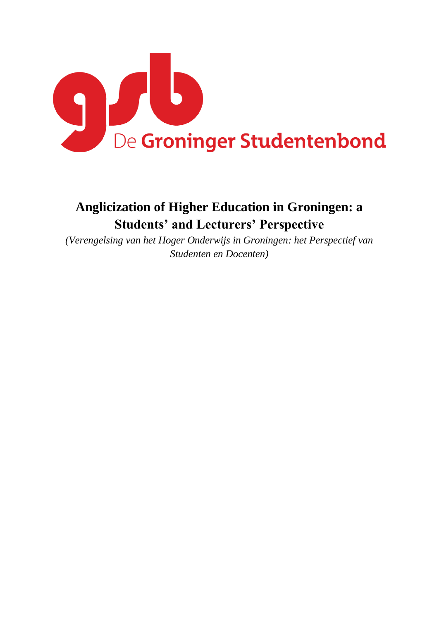

# **Anglicization of Higher Education in Groningen: a Students' and Lecturers' Perspective**

*(Verengelsing van het Hoger Onderwijs in Groningen: het Perspectief van Studenten en Docenten)*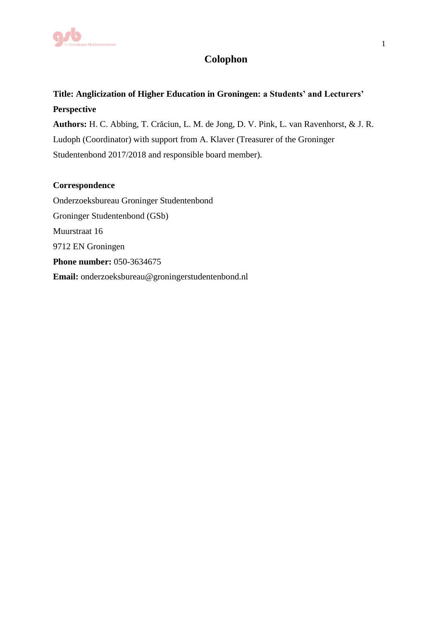

## **Colophon**

## **Title: Anglicization of Higher Education in Groningen: a Students' and Lecturers' Perspective**

**Authors:** H. C. Abbing, T. Crăciun, L. M. de Jong, D. V. Pink, L. van Ravenhorst, & J. R. Ludoph (Coordinator) with support from A. Klaver (Treasurer of the Groninger Studentenbond 2017/2018 and responsible board member).

## **Correspondence**

Onderzoeksbureau Groninger Studentenbond Groninger Studentenbond (GSb) Muurstraat 16 9712 EN Groningen **Phone number:** 050-3634675 **Email:** [onderzoeksbureau@groningerstudentenbond.nl](mailto:onderzoeksbureau@groningerstudentenbond.nl)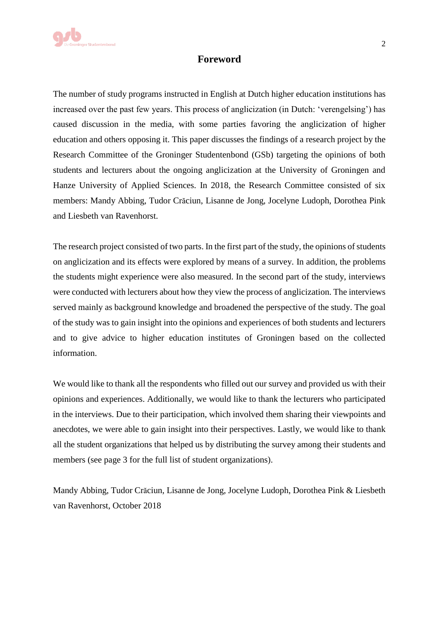## **Foreword**

The number of study programs instructed in English at Dutch higher education institutions has increased over the past few years. This process of anglicization (in Dutch: 'verengelsing') has caused discussion in the media, with some parties favoring the anglicization of higher education and others opposing it. This paper discusses the findings of a research project by the Research Committee of the Groninger Studentenbond (GSb) targeting the opinions of both students and lecturers about the ongoing anglicization at the University of Groningen and Hanze University of Applied Sciences. In 2018, the Research Committee consisted of six members: Mandy Abbing, Tudor Crăciun, Lisanne de Jong, Jocelyne Ludoph, Dorothea Pink and Liesbeth van Ravenhorst.

The research project consisted of two parts. In the first part of the study, the opinions of students on anglicization and its effects were explored by means of a survey. In addition, the problems the students might experience were also measured. In the second part of the study, interviews were conducted with lecturers about how they view the process of anglicization. The interviews served mainly as background knowledge and broadened the perspective of the study. The goal of the study was to gain insight into the opinions and experiences of both students and lecturers and to give advice to higher education institutes of Groningen based on the collected information.

We would like to thank all the respondents who filled out our survey and provided us with their opinions and experiences. Additionally, we would like to thank the lecturers who participated in the interviews. Due to their participation, which involved them sharing their viewpoints and anecdotes, we were able to gain insight into their perspectives. Lastly, we would like to thank all the student organizations that helped us by distributing the survey among their students and members (see page 3 for the full list of student organizations).

Mandy Abbing, Tudor Crăciun, Lisanne de Jong, Jocelyne Ludoph, Dorothea Pink & Liesbeth van Ravenhorst, October 2018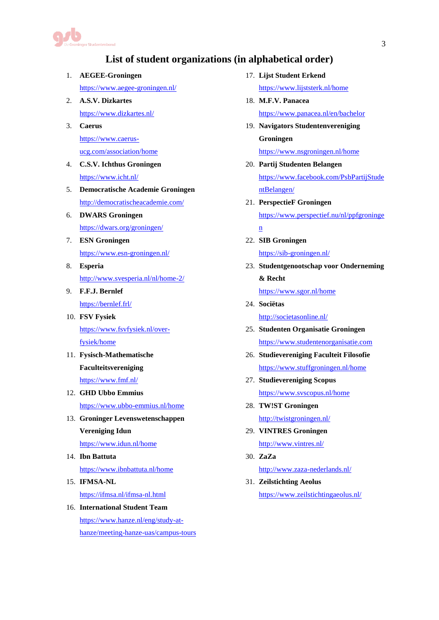

## **List of student organizations (in alphabetical order)**

- 1. **AEGEE-Groningen**
	- <https://www.aegee-groningen.nl/>
- 2. **A.S.V. Dizkartes** <https://www.dizkartes.nl/>
- 3. **Caerus** [https://www.caerus](https://www.caerus-ucg.com/association/home)[ucg.com/association/home](https://www.caerus-ucg.com/association/home)
- 4. **C.S.V. Ichthus Groningen** <https://www.icht.nl/>
- 5. **Democratische Academie Groningen** <http://democratischeacademie.com/>
- 6. **DWARS Groningen** <https://dwars.org/groningen/>
- 7. **ESN Groningen** <https://www.esn-groningen.nl/>
- 8. **Esperia** <http://www.svesperia.nl/nl/home-2/>
- 9. **F.F.J. Bernlef** <https://bernlef.frl/>
- 10. **FSV Fysiek** [https://www.fsvfysiek.nl/over](https://www.fsvfysiek.nl/over-fysiek/home)[fysiek/home](https://www.fsvfysiek.nl/over-fysiek/home)
- 11. **Fysisch-Mathematische Faculteitsvereniging** <https://www.fmf.nl/>
- 12. **GHD Ubbo Emmius**  <https://www.ubbo-emmius.nl/home>
- 13. **Groninger Levenswetenschappen Vereniging Idun** <https://www.idun.nl/home>
- 14. **Ibn Battuta** <https://www.ibnbattuta.nl/home>
- 15. **IFMSA-NL** <https://ifmsa.nl/ifmsa-nl.html>
- 16. **International Student Team** [https://www.hanze.nl/eng/study-at](https://www.hanze.nl/eng/study-at-hanze/meeting-hanze-uas/campus-tours)[hanze/meeting-hanze-uas/campus-tours](https://www.hanze.nl/eng/study-at-hanze/meeting-hanze-uas/campus-tours)
- 17. **Lijst Student Erkend** 
	- <https://www.lijststerk.nl/home>
- 18. **M.F.V. Panacea** <https://www.panacea.nl/en/bachelor>
- 19. **Navigators Studentenvereniging Groningen** <https://www.nsgroningen.nl/home>
- 20. **Partij Studenten Belangen** [https://www.facebook.com/PsbPartijStude](https://www.facebook.com/PsbPartijStudentBelangen/) [ntBelangen/](https://www.facebook.com/PsbPartijStudentBelangen/)
- 21. **PerspectieF Groningen** [https://www.perspectief.nu/nl/ppfgroninge](https://www.perspectief.nu/nl/ppfgroningen)
	- [n](https://www.perspectief.nu/nl/ppfgroningen)
- 22. **SIB Groningen** <https://sib-groningen.nl/>
- 23. **Studentgenootschap voor Onderneming & Recht**

<https://www.sgor.nl/home>

- 24. **Sociëtas** <http://societasonline.nl/>
- 25. **Studenten Organisatie Groningen**  [https://www.studentenorganisatie.com](https://www.studentenorganisatie.com/)
- 26. **Studievereniging Faculteit Filosofie**  <https://www.stuffgroningen.nl/home>
- 27. **Studievereniging Scopus** <https://www.svscopus.nl/home>
- 28. **TW!ST Groningen** <http://twistgroningen.nl/>
- 29. **VINTRES Groningen** <http://www.vintres.nl/>
- 30. **ZaZa** <http://www.zaza-nederlands.nl/>
- 31. **Zeilstichting Aeolus** <https://www.zeilstichtingaeolus.nl/>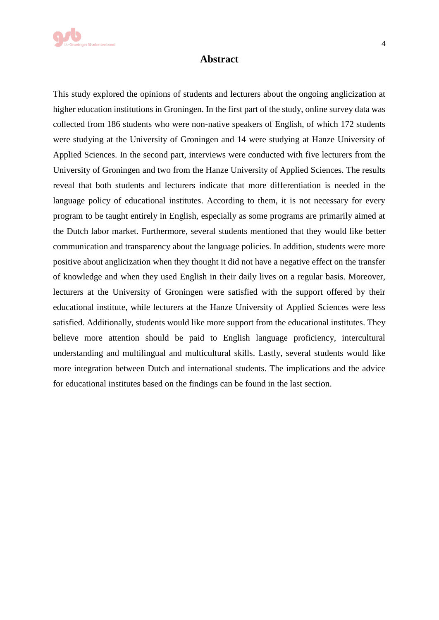

#### **Abstract**

This study explored the opinions of students and lecturers about the ongoing anglicization at higher education institutions in Groningen. In the first part of the study, online survey data was collected from 186 students who were non-native speakers of English, of which 172 students were studying at the University of Groningen and 14 were studying at Hanze University of Applied Sciences. In the second part, interviews were conducted with five lecturers from the University of Groningen and two from the Hanze University of Applied Sciences. The results reveal that both students and lecturers indicate that more differentiation is needed in the language policy of educational institutes. According to them, it is not necessary for every program to be taught entirely in English, especially as some programs are primarily aimed at the Dutch labor market. Furthermore, several students mentioned that they would like better communication and transparency about the language policies. In addition, students were more positive about anglicization when they thought it did not have a negative effect on the transfer of knowledge and when they used English in their daily lives on a regular basis. Moreover, lecturers at the University of Groningen were satisfied with the support offered by their educational institute, while lecturers at the Hanze University of Applied Sciences were less satisfied. Additionally, students would like more support from the educational institutes. They believe more attention should be paid to English language proficiency, intercultural understanding and multilingual and multicultural skills. Lastly, several students would like more integration between Dutch and international students. The implications and the advice for educational institutes based on the findings can be found in the last section.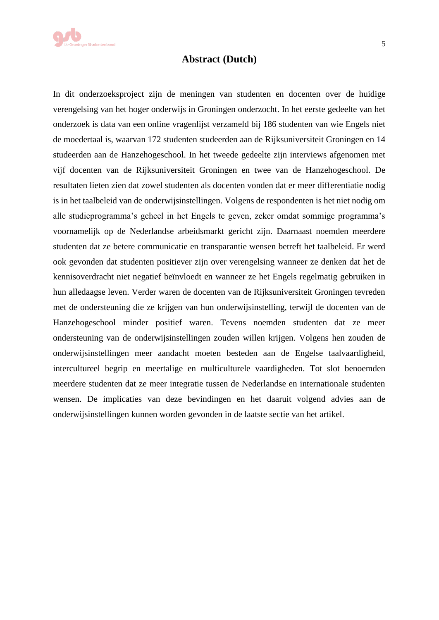

### **Abstract (Dutch)**

In dit onderzoeksproject zijn de meningen van studenten en docenten over de huidige verengelsing van het hoger onderwijs in Groningen onderzocht. In het eerste gedeelte van het onderzoek is data van een online vragenlijst verzameld bij 186 studenten van wie Engels niet de moedertaal is, waarvan 172 studenten studeerden aan de Rijksuniversiteit Groningen en 14 studeerden aan de Hanzehogeschool. In het tweede gedeelte zijn interviews afgenomen met vijf docenten van de Rijksuniversiteit Groningen en twee van de Hanzehogeschool. De resultaten lieten zien dat zowel studenten als docenten vonden dat er meer differentiatie nodig is in het taalbeleid van de onderwijsinstellingen. Volgens de respondenten is het niet nodig om alle studieprogramma's geheel in het Engels te geven, zeker omdat sommige programma's voornamelijk op de Nederlandse arbeidsmarkt gericht zijn. Daarnaast noemden meerdere studenten dat ze betere communicatie en transparantie wensen betreft het taalbeleid. Er werd ook gevonden dat studenten positiever zijn over verengelsing wanneer ze denken dat het de kennisoverdracht niet negatief beïnvloedt en wanneer ze het Engels regelmatig gebruiken in hun alledaagse leven. Verder waren de docenten van de Rijksuniversiteit Groningen tevreden met de ondersteuning die ze krijgen van hun onderwijsinstelling, terwijl de docenten van de Hanzehogeschool minder positief waren. Tevens noemden studenten dat ze meer ondersteuning van de onderwijsinstellingen zouden willen krijgen. Volgens hen zouden de onderwijsinstellingen meer aandacht moeten besteden aan de Engelse taalvaardigheid, intercultureel begrip en meertalige en multiculturele vaardigheden. Tot slot benoemden meerdere studenten dat ze meer integratie tussen de Nederlandse en internationale studenten wensen. De implicaties van deze bevindingen en het daaruit volgend advies aan de onderwijsinstellingen kunnen worden gevonden in de laatste sectie van het artikel.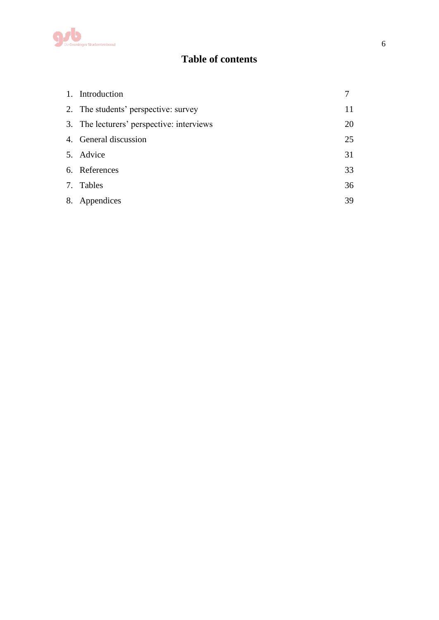

## **Table of contents**

| 1. Introduction                           |    |
|-------------------------------------------|----|
| 2. The students' perspective: survey      | 11 |
| 3. The lecturers' perspective: interviews | 20 |
| 4. General discussion                     | 25 |
| 5. Advice                                 | 31 |
| 6. References                             | 33 |
| 7. Tables                                 | 36 |
| 8. Appendices                             | 39 |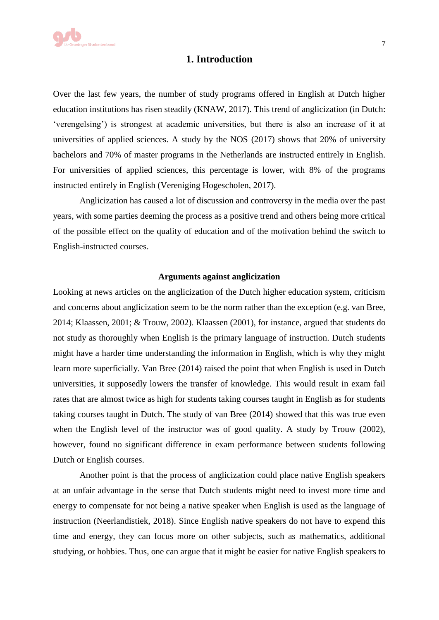

## **1. Introduction**

Over the last few years, the number of study programs offered in English at Dutch higher education institutions has risen steadily (KNAW, 2017). This trend of anglicization (in Dutch: 'verengelsing') is strongest at academic universities, but there is also an increase of it at universities of applied sciences. A study by the NOS (2017) shows that 20% of university bachelors and 70% of master programs in the Netherlands are instructed entirely in English. For universities of applied sciences, this percentage is lower, with 8% of the programs instructed entirely in English (Vereniging Hogescholen, 2017).

Anglicization has caused a lot of discussion and controversy in the media over the past years, with some parties deeming the process as a positive trend and others being more critical of the possible effect on the quality of education and of the motivation behind the switch to English-instructed courses.

#### **Arguments against anglicization**

Looking at news articles on the anglicization of the Dutch higher education system, criticism and concerns about anglicization seem to be the norm rather than the exception (e.g. van Bree, 2014; Klaassen, 2001; & Trouw, 2002). Klaassen (2001), for instance, argued that students do not study as thoroughly when English is the primary language of instruction. Dutch students might have a harder time understanding the information in English, which is why they might learn more superficially. Van Bree (2014) raised the point that when English is used in Dutch universities, it supposedly lowers the transfer of knowledge. This would result in exam fail rates that are almost twice as high for students taking courses taught in English as for students taking courses taught in Dutch. The study of van Bree (2014) showed that this was true even when the English level of the instructor was of good quality. A study by Trouw (2002), however, found no significant difference in exam performance between students following Dutch or English courses.

Another point is that the process of anglicization could place native English speakers at an unfair advantage in the sense that Dutch students might need to invest more time and energy to compensate for not being a native speaker when English is used as the language of instruction (Neerlandistiek, 2018). Since English native speakers do not have to expend this time and energy, they can focus more on other subjects, such as mathematics, additional studying, or hobbies. Thus, one can argue that it might be easier for native English speakers to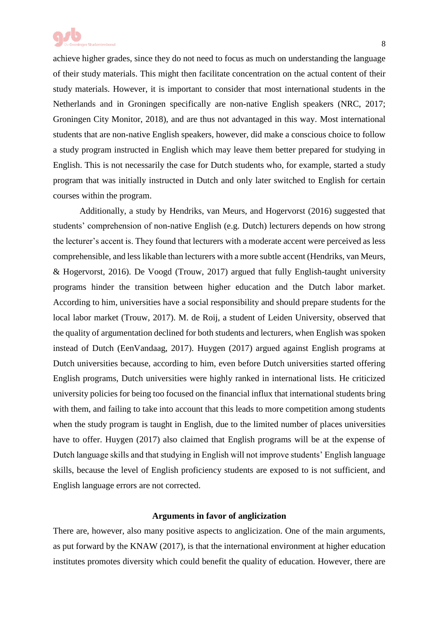achieve higher grades, since they do not need to focus as much on understanding the language of their study materials. This might then facilitate concentration on the actual content of their study materials. However, it is important to consider that most international students in the Netherlands and in Groningen specifically are non-native English speakers (NRC, 2017; Groningen City Monitor, 2018), and are thus not advantaged in this way. Most international students that are non-native English speakers, however, did make a conscious choice to follow a study program instructed in English which may leave them better prepared for studying in English. This is not necessarily the case for Dutch students who, for example, started a study program that was initially instructed in Dutch and only later switched to English for certain courses within the program.

Additionally, a study by Hendriks, van Meurs, and Hogervorst (2016) suggested that students' comprehension of non-native English (e.g. Dutch) lecturers depends on how strong the lecturer's accent is. They found that lecturers with a moderate accent were perceived as less comprehensible, and less likable than lecturers with a more subtle accent (Hendriks, van Meurs, & Hogervorst, 2016). De Voogd (Trouw, 2017) argued that fully English-taught university programs hinder the transition between higher education and the Dutch labor market. According to him, universities have a social responsibility and should prepare students for the local labor market (Trouw, 2017). M. de Roij, a student of Leiden University, observed that the quality of argumentation declined for both students and lecturers, when English was spoken instead of Dutch (EenVandaag, 2017). Huygen (2017) argued against English programs at Dutch universities because, according to him, even before Dutch universities started offering English programs, Dutch universities were highly ranked in international lists. He criticized university policies for being too focused on the financial influx that international students bring with them, and failing to take into account that this leads to more competition among students when the study program is taught in English, due to the limited number of places universities have to offer. Huygen (2017) also claimed that English programs will be at the expense of Dutch language skills and that studying in English will not improve students' English language skills, because the level of English proficiency students are exposed to is not sufficient, and English language errors are not corrected.

#### **Arguments in favor of anglicization**

There are, however, also many positive aspects to anglicization. One of the main arguments, as put forward by the KNAW (2017), is that the international environment at higher education institutes promotes diversity which could benefit the quality of education. However, there are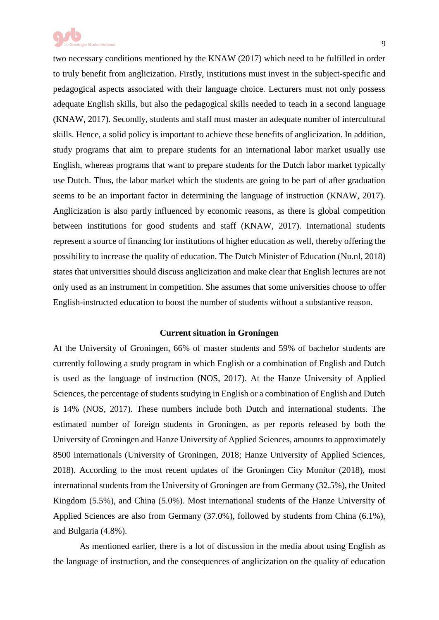

two necessary conditions mentioned by the KNAW (2017) which need to be fulfilled in order to truly benefit from anglicization. Firstly, institutions must invest in the subject-specific and pedagogical aspects associated with their language choice. Lecturers must not only possess adequate English skills, but also the pedagogical skills needed to teach in a second language (KNAW, 2017). Secondly, students and staff must master an adequate number of intercultural skills. Hence, a solid policy is important to achieve these benefits of anglicization. In addition, study programs that aim to prepare students for an international labor market usually use English, whereas programs that want to prepare students for the Dutch labor market typically use Dutch. Thus, the labor market which the students are going to be part of after graduation seems to be an important factor in determining the language of instruction (KNAW, 2017). Anglicization is also partly influenced by economic reasons, as there is global competition between institutions for good students and staff (KNAW, 2017). International students represent a source of financing for institutions of higher education as well, thereby offering the possibility to increase the quality of education. The Dutch Minister of Education (Nu.nl, 2018) states that universities should discuss anglicization and make clear that English lectures are not only used as an instrument in competition. She assumes that some universities choose to offer English-instructed education to boost the number of students without a substantive reason.

#### **Current situation in Groningen**

At the University of Groningen, 66% of master students and 59% of bachelor students are currently following a study program in which English or a combination of English and Dutch is used as the language of instruction (NOS, 2017). At the Hanze University of Applied Sciences, the percentage of students studying in English or a combination of English and Dutch is 14% (NOS, 2017). These numbers include both Dutch and international students. The estimated number of foreign students in Groningen, as per reports released by both the University of Groningen and Hanze University of Applied Sciences, amounts to approximately 8500 internationals (University of Groningen, 2018; Hanze University of Applied Sciences, 2018). According to the most recent updates of the Groningen City Monitor (2018), most international students from the University of Groningen are from Germany (32.5%), the United Kingdom (5.5%), and China (5.0%). Most international students of the Hanze University of Applied Sciences are also from Germany (37.0%), followed by students from China (6.1%), and Bulgaria (4.8%).

As mentioned earlier, there is a lot of discussion in the media about using English as the language of instruction, and the consequences of anglicization on the quality of education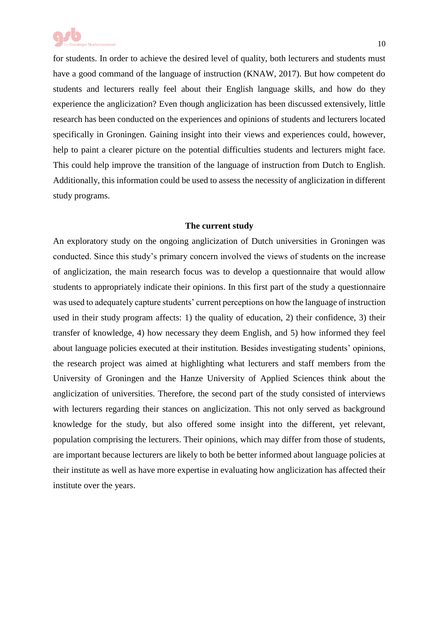

for students. In order to achieve the desired level of quality, both lecturers and students must have a good command of the language of instruction (KNAW, 2017). But how competent do students and lecturers really feel about their English language skills, and how do they experience the anglicization? Even though anglicization has been discussed extensively, little research has been conducted on the experiences and opinions of students and lecturers located specifically in Groningen. Gaining insight into their views and experiences could, however, help to paint a clearer picture on the potential difficulties students and lecturers might face. This could help improve the transition of the language of instruction from Dutch to English. Additionally, this information could be used to assess the necessity of anglicization in different study programs.

#### **The current study**

An exploratory study on the ongoing anglicization of Dutch universities in Groningen was conducted. Since this study's primary concern involved the views of students on the increase of anglicization, the main research focus was to develop a questionnaire that would allow students to appropriately indicate their opinions. In this first part of the study a questionnaire was used to adequately capture students' current perceptions on how the language of instruction used in their study program affects: 1) the quality of education, 2) their confidence, 3) their transfer of knowledge, 4) how necessary they deem English, and 5) how informed they feel about language policies executed at their institution. Besides investigating students' opinions, the research project was aimed at highlighting what lecturers and staff members from the University of Groningen and the Hanze University of Applied Sciences think about the anglicization of universities. Therefore, the second part of the study consisted of interviews with lecturers regarding their stances on anglicization. This not only served as background knowledge for the study, but also offered some insight into the different, yet relevant, population comprising the lecturers. Their opinions, which may differ from those of students, are important because lecturers are likely to both be better informed about language policies at their institute as well as have more expertise in evaluating how anglicization has affected their institute over the years.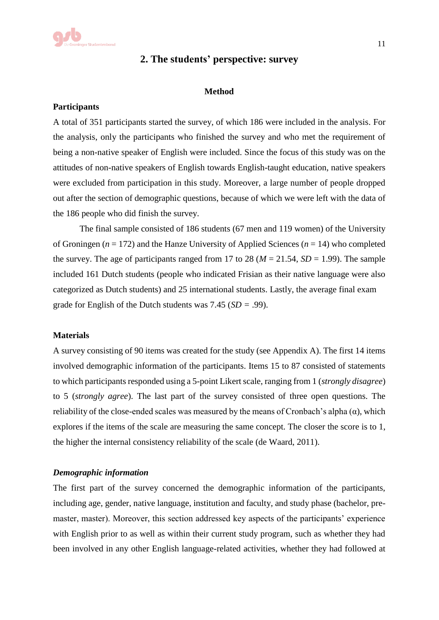## **2. The students' perspective: survey**

#### **Method**

#### **Participants**

A total of 351 participants started the survey, of which 186 were included in the analysis. For the analysis, only the participants who finished the survey and who met the requirement of being a non-native speaker of English were included. Since the focus of this study was on the attitudes of non-native speakers of English towards English-taught education, native speakers were excluded from participation in this study. Moreover, a large number of people dropped out after the section of demographic questions, because of which we were left with the data of the 186 people who did finish the survey.

The final sample consisted of 186 students (67 men and 119 women) of the University of Groningen (*n* = 172) and the Hanze University of Applied Sciences (*n* = 14) who completed the survey. The age of participants ranged from 17 to 28 ( $M = 21.54$ ,  $SD = 1.99$ ). The sample included 161 Dutch students (people who indicated Frisian as their native language were also categorized as Dutch students) and 25 international students. Lastly, the average final exam grade for English of the Dutch students was  $7.45$  ( $SD = .99$ ).

#### **Materials**

A survey consisting of 90 items was created for the study (see Appendix A). The first 14 items involved demographic information of the participants. Items 15 to 87 consisted of statements to which participants responded using a 5-point Likert scale, ranging from 1 (*strongly disagree*) to 5 (*strongly agree*). The last part of the survey consisted of three open questions. The reliability of the close-ended scales was measured by the means of Cronbach's alpha  $(\alpha)$ , which explores if the items of the scale are measuring the same concept. The closer the score is to 1, the higher the internal consistency reliability of the scale (de Waard, 2011).

#### *Demographic information*

The first part of the survey concerned the demographic information of the participants, including age, gender, native language, institution and faculty, and study phase (bachelor, premaster, master). Moreover, this section addressed key aspects of the participants' experience with English prior to as well as within their current study program, such as whether they had been involved in any other English language-related activities, whether they had followed at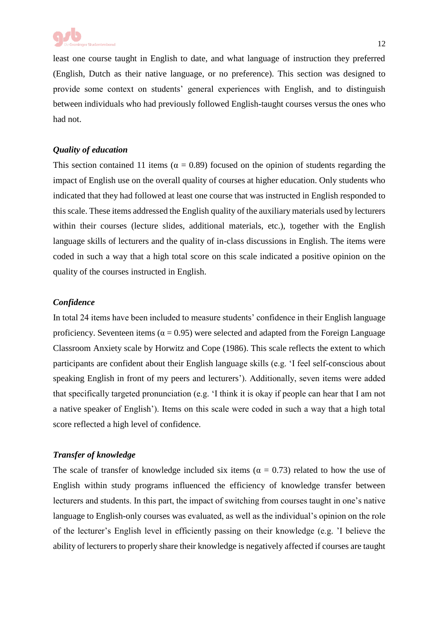

least one course taught in English to date, and what language of instruction they preferred (English, Dutch as their native language, or no preference). This section was designed to provide some context on students' general experiences with English, and to distinguish between individuals who had previously followed English-taught courses versus the ones who had not.

#### *Quality of education*

This section contained 11 items ( $\alpha = 0.89$ ) focused on the opinion of students regarding the impact of English use on the overall quality of courses at higher education. Only students who indicated that they had followed at least one course that was instructed in English responded to this scale. These items addressed the English quality of the auxiliary materials used by lecturers within their courses (lecture slides, additional materials, etc.), together with the English language skills of lecturers and the quality of in-class discussions in English. The items were coded in such a way that a high total score on this scale indicated a positive opinion on the quality of the courses instructed in English.

### *Confidence*

In total 24 items have been included to measure students' confidence in their English language proficiency. Seventeen items ( $\alpha = 0.95$ ) were selected and adapted from the Foreign Language Classroom Anxiety scale by Horwitz and Cope (1986). This scale reflects the extent to which participants are confident about their English language skills (e.g. 'I feel self-conscious about speaking English in front of my peers and lecturers'). Additionally, seven items were added that specifically targeted pronunciation (e.g. 'I think it is okay if people can hear that I am not a native speaker of English'). Items on this scale were coded in such a way that a high total score reflected a high level of confidence.

## *Transfer of knowledge*

The scale of transfer of knowledge included six items ( $\alpha = 0.73$ ) related to how the use of English within study programs influenced the efficiency of knowledge transfer between lecturers and students. In this part, the impact of switching from courses taught in one's native language to English-only courses was evaluated, as well as the individual's opinion on the role of the lecturer's English level in efficiently passing on their knowledge (e.g. 'I believe the ability of lecturers to properly share their knowledge is negatively affected if courses are taught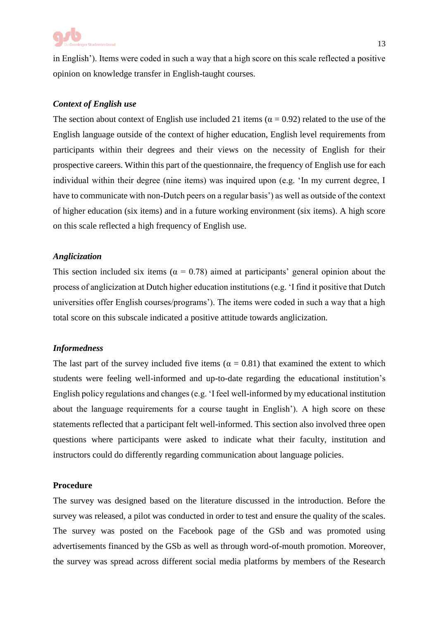

in English'). Items were coded in such a way that a high score on this scale reflected a positive opinion on knowledge transfer in English-taught courses.

#### *Context of English use*

The section about context of English use included 21 items ( $\alpha = 0.92$ ) related to the use of the English language outside of the context of higher education, English level requirements from participants within their degrees and their views on the necessity of English for their prospective careers. Within this part of the questionnaire, the frequency of English use for each individual within their degree (nine items) was inquired upon (e.g. 'In my current degree, I have to communicate with non-Dutch peers on a regular basis') as well as outside of the context of higher education (six items) and in a future working environment (six items). A high score on this scale reflected a high frequency of English use.

#### *Anglicization*

This section included six items ( $\alpha = 0.78$ ) aimed at participants' general opinion about the process of anglicization at Dutch higher education institutions (e.g. 'I find it positive that Dutch universities offer English courses/programs'). The items were coded in such a way that a high total score on this subscale indicated a positive attitude towards anglicization.

#### *Informedness*

The last part of the survey included five items ( $\alpha = 0.81$ ) that examined the extent to which students were feeling well-informed and up-to-date regarding the educational institution's English policy regulations and changes (e.g. 'I feel well-informed by my educational institution about the language requirements for a course taught in English'). A high score on these statements reflected that a participant felt well-informed. This section also involved three open questions where participants were asked to indicate what their faculty, institution and instructors could do differently regarding communication about language policies.

#### **Procedure**

The survey was designed based on the literature discussed in the introduction. Before the survey was released, a pilot was conducted in order to test and ensure the quality of the scales. The survey was posted on the Facebook page of the GSb and was promoted using advertisements financed by the GSb as well as through word-of-mouth promotion. Moreover, the survey was spread across different social media platforms by members of the Research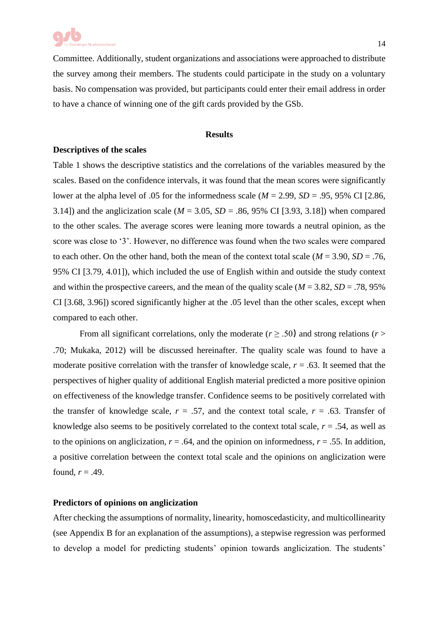Committee. Additionally, student organizations and associations were approached to distribute the survey among their members. The students could participate in the study on a voluntary basis. No compensation was provided, but participants could enter their email address in order to have a chance of winning one of the gift cards provided by the GSb.

#### **Results**

#### **Descriptives of the scales**

Table 1 shows the descriptive statistics and the correlations of the variables measured by the scales. Based on the confidence intervals, it was found that the mean scores were significantly lower at the alpha level of .05 for the informedness scale ( $M = 2.99$ ,  $SD = .95$ , 95% CI [2.86, 3.14]) and the anglicization scale ( $M = 3.05$ ,  $SD = .86$ , 95% CI [3.93, 3.18]) when compared to the other scales. The average scores were leaning more towards a neutral opinion, as the score was close to '3'. However, no difference was found when the two scales were compared to each other. On the other hand, both the mean of the context total scale ( $M = 3.90$ ,  $SD = .76$ , 95% CI [3.79, 4.01]), which included the use of English within and outside the study context and within the prospective careers, and the mean of the quality scale ( $M = 3.82$ ,  $SD = .78$ , 95%) CI [3.68, 3.96]) scored significantly higher at the .05 level than the other scales, except when compared to each other.

From all significant correlations, only the moderate ( $r \geq .50$ ) and strong relations ( $r >$ .70; Mukaka, 2012) will be discussed hereinafter. The quality scale was found to have a moderate positive correlation with the transfer of knowledge scale,  $r = .63$ . It seemed that the perspectives of higher quality of additional English material predicted a more positive opinion on effectiveness of the knowledge transfer. Confidence seems to be positively correlated with the transfer of knowledge scale,  $r = .57$ , and the context total scale,  $r = .63$ . Transfer of knowledge also seems to be positively correlated to the context total scale,  $r = .54$ , as well as to the opinions on anglicization,  $r = .64$ , and the opinion on informedness,  $r = .55$ . In addition, a positive correlation between the context total scale and the opinions on anglicization were found,  $r = .49$ .

#### **Predictors of opinions on anglicization**

After checking the assumptions of normality, linearity, homoscedasticity, and multicollinearity (see Appendix B for an explanation of the assumptions), a stepwise regression was performed to develop a model for predicting students' opinion towards anglicization. The students'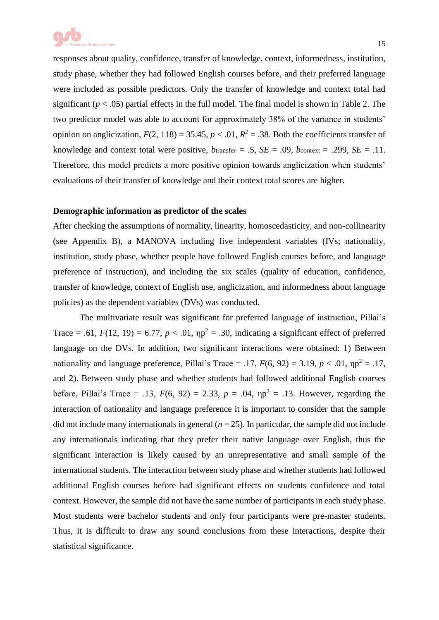

responses about quality, confidence, transfer of knowledge, context, informedness, institution, study phase, whether they had followed English courses before, and their preferred language were included as possible predictors. Only the transfer of knowledge and context total had significant  $(p < .05)$  partial effects in the full model. The final model is shown in Table 2. The two predictor model was able to account for approximately 38% of the variance in students' opinion on anglicization,  $F(2, 118) = 35.45$ ,  $p < .01$ ,  $R^2 = .38$ . Both the coefficients transfer of knowledge and context total were positive,  $b$ transfer  $= .5$ ,  $SE = .09$ ,  $b$ context  $= .299$ ,  $SE = .11$ . Therefore, this model predicts a more positive opinion towards anglicization when students' evaluations of their transfer of knowledge and their context total scores are higher.

#### **Demographic information as predictor of the scales**

After checking the assumptions of normality, linearity, homoscedasticity, and non-collinearity (see Appendix B), a MANOVA including five independent variables (IVs; nationality, institution, study phase, whether people have followed English courses before, and language preference of instruction), and including the six scales (quality of education, confidence, transfer of knowledge, context of English use, anglicization, and informedness about language policies) as the dependent variables (DVs) was conducted.

The multivariate result was significant for preferred language of instruction, Pillai's Trace = .61,  $F(12, 19) = 6.77$ ,  $p < .01$ ,  $np^2 = .30$ , indicating a significant effect of preferred language on the DVs. In addition, two significant interactions were obtained: 1) Between nationality and language preference, Pillai's Trace = .17,  $F(6, 92) = 3.19$ ,  $p < .01$ ,  $np^2 = .17$ , and 2). Between study phase and whether students had followed additional English courses before, Pillai's Trace = .13,  $F(6, 92) = 2.33$ ,  $p = .04$ ,  $np^2 = .13$ . However, regarding the interaction of nationality and language preference it is important to consider that the sample did not include many internationals in general  $(n = 25)$ . In particular, the sample did not include any internationals indicating that they prefer their native language over English, thus the significant interaction is likely caused by an unrepresentative and small sample of the international students. The interaction between study phase and whether students had followed additional English courses before had significant effects on students confidence and total context. However, the sample did not have the same number of participants in each study phase. Most students were bachelor students and only four participants were pre-master students. Thus, it is difficult to draw any sound conclusions from these interactions, despite their statistical significance.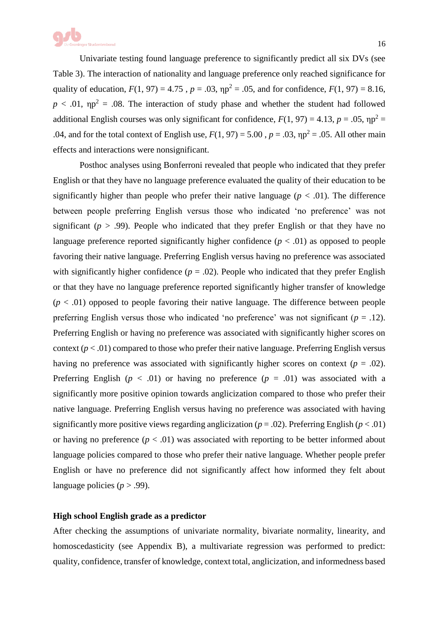

Univariate testing found language preference to significantly predict all six DVs (see Table 3). The interaction of nationality and language preference only reached significance for quality of education,  $F(1, 97) = 4.75$ ,  $p = .03$ ,  $np^2 = .05$ , and for confidence,  $F(1, 97) = 8.16$ ,  $p < .01$ ,  $np^2 = .08$ . The interaction of study phase and whether the student had followed additional English courses was only significant for confidence,  $F(1, 97) = 4.13$ ,  $p = .05$ ,  $np^2 =$ .04, and for the total context of English use,  $F(1, 97) = 5.00$ ,  $p = .03$ ,  $np^2 = .05$ . All other main effects and interactions were nonsignificant.

Posthoc analyses using Bonferroni revealed that people who indicated that they prefer English or that they have no language preference evaluated the quality of their education to be significantly higher than people who prefer their native language  $(p < .01)$ . The difference between people preferring English versus those who indicated 'no preference' was not significant ( $p > .99$ ). People who indicated that they prefer English or that they have no language preference reported significantly higher confidence  $(p < .01)$  as opposed to people favoring their native language. Preferring English versus having no preference was associated with significantly higher confidence  $(p = .02)$ . People who indicated that they prefer English or that they have no language preference reported significantly higher transfer of knowledge  $(p < .01)$  opposed to people favoring their native language. The difference between people preferring English versus those who indicated 'no preference' was not significant (*p* = .12). Preferring English or having no preference was associated with significantly higher scores on context ( $p < .01$ ) compared to those who prefer their native language. Preferring English versus having no preference was associated with significantly higher scores on context ( $p = .02$ ). Preferring English ( $p < .01$ ) or having no preference ( $p = .01$ ) was associated with a significantly more positive opinion towards anglicization compared to those who prefer their native language. Preferring English versus having no preference was associated with having significantly more positive views regarding anglicization ( $p = .02$ ). Preferring English ( $p < .01$ ) or having no preference  $(p < .01)$  was associated with reporting to be better informed about language policies compared to those who prefer their native language. Whether people prefer English or have no preference did not significantly affect how informed they felt about language policies ( $p > .99$ ).

#### **High school English grade as a predictor**

After checking the assumptions of univariate normality, bivariate normality, linearity, and homoscedasticity (see Appendix B), a multivariate regression was performed to predict: quality, confidence, transfer of knowledge, context total, anglicization, and informedness based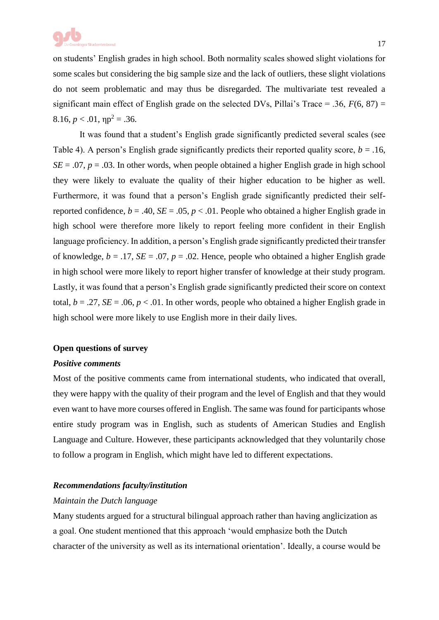

on students' English grades in high school. Both normality scales showed slight violations for some scales but considering the big sample size and the lack of outliers, these slight violations do not seem problematic and may thus be disregarded. The multivariate test revealed a significant main effect of English grade on the selected DVs, Pillai's Trace = .36, *F*(6, 87) =  $8.16, p < .01, \eta p^2 = .36.$ 

It was found that a student's English grade significantly predicted several scales (see Table 4). A person's English grade significantly predicts their reported quality score,  $b = .16$ ,  $SE = .07$ ,  $p = .03$ . In other words, when people obtained a higher English grade in high school they were likely to evaluate the quality of their higher education to be higher as well. Furthermore, it was found that a person's English grade significantly predicted their selfreported confidence,  $b = .40$ ,  $SE = .05$ ,  $p < .01$ . People who obtained a higher English grade in high school were therefore more likely to report feeling more confident in their English language proficiency. In addition, a person's English grade significantly predicted their transfer of knowledge,  $b = .17$ ,  $SE = .07$ ,  $p = .02$ . Hence, people who obtained a higher English grade in high school were more likely to report higher transfer of knowledge at their study program. Lastly, it was found that a person's English grade significantly predicted their score on context total,  $b = .27$ ,  $SE = .06$ ,  $p < .01$ . In other words, people who obtained a higher English grade in high school were more likely to use English more in their daily lives.

#### **Open questions of survey**

#### *Positive comments*

Most of the positive comments came from international students, who indicated that overall, they were happy with the quality of their program and the level of English and that they would even want to have more courses offered in English. The same was found for participants whose entire study program was in English, such as students of American Studies and English Language and Culture. However, these participants acknowledged that they voluntarily chose to follow a program in English, which might have led to different expectations.

#### *Recommendations faculty/institution*

#### *Maintain the Dutch language*

Many students argued for a structural bilingual approach rather than having anglicization as a goal. One student mentioned that this approach 'would emphasize both the Dutch character of the university as well as its international orientation'. Ideally, a course would be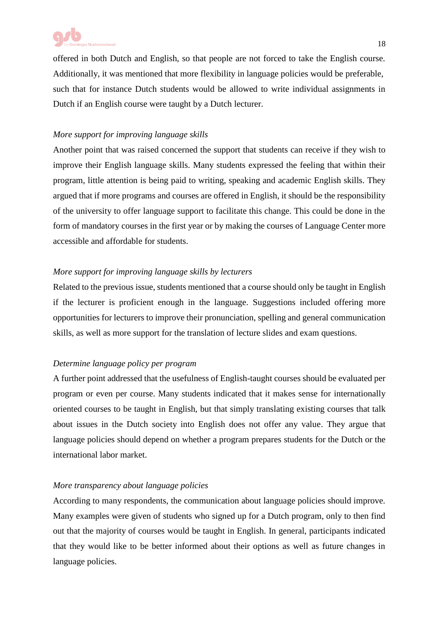offered in both Dutch and English, so that people are not forced to take the English course. Additionally, it was mentioned that more flexibility in language policies would be preferable, such that for instance Dutch students would be allowed to write individual assignments in Dutch if an English course were taught by a Dutch lecturer.

## *More support for improving language skills*

Another point that was raised concerned the support that students can receive if they wish to improve their English language skills. Many students expressed the feeling that within their program, little attention is being paid to writing, speaking and academic English skills. They argued that if more programs and courses are offered in English, it should be the responsibility of the university to offer language support to facilitate this change. This could be done in the form of mandatory courses in the first year or by making the courses of Language Center more accessible and affordable for students.

## *More support for improving language skills by lecturers*

Related to the previous issue, students mentioned that a course should only be taught in English if the lecturer is proficient enough in the language. Suggestions included offering more opportunities for lecturers to improve their pronunciation, spelling and general communication skills, as well as more support for the translation of lecture slides and exam questions.

## *Determine language policy per program*

A further point addressed that the usefulness of English-taught courses should be evaluated per program or even per course. Many students indicated that it makes sense for internationally oriented courses to be taught in English, but that simply translating existing courses that talk about issues in the Dutch society into English does not offer any value. They argue that language policies should depend on whether a program prepares students for the Dutch or the international labor market.

#### *More transparency about language policies*

According to many respondents, the communication about language policies should improve. Many examples were given of students who signed up for a Dutch program, only to then find out that the majority of courses would be taught in English. In general, participants indicated that they would like to be better informed about their options as well as future changes in language policies.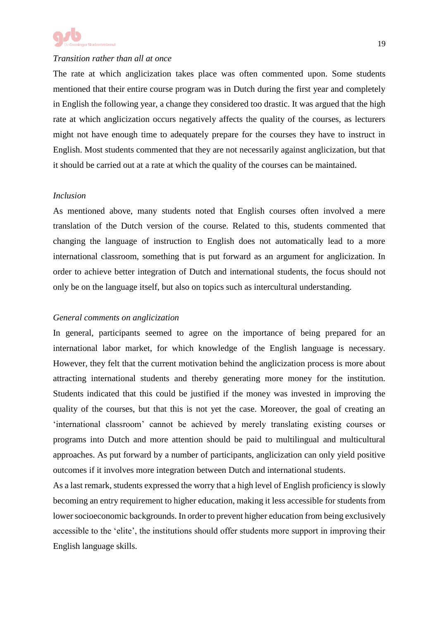

#### *Transition rather than all at once*

The rate at which anglicization takes place was often commented upon. Some students mentioned that their entire course program was in Dutch during the first year and completely in English the following year, a change they considered too drastic. It was argued that the high rate at which anglicization occurs negatively affects the quality of the courses, as lecturers might not have enough time to adequately prepare for the courses they have to instruct in English. Most students commented that they are not necessarily against anglicization, but that it should be carried out at a rate at which the quality of the courses can be maintained.

#### *Inclusion*

As mentioned above, many students noted that English courses often involved a mere translation of the Dutch version of the course. Related to this, students commented that changing the language of instruction to English does not automatically lead to a more international classroom, something that is put forward as an argument for anglicization. In order to achieve better integration of Dutch and international students, the focus should not only be on the language itself, but also on topics such as intercultural understanding.

#### *General comments on anglicization*

In general, participants seemed to agree on the importance of being prepared for an international labor market, for which knowledge of the English language is necessary. However, they felt that the current motivation behind the anglicization process is more about attracting international students and thereby generating more money for the institution. Students indicated that this could be justified if the money was invested in improving the quality of the courses, but that this is not yet the case. Moreover, the goal of creating an 'international classroom' cannot be achieved by merely translating existing courses or programs into Dutch and more attention should be paid to multilingual and multicultural approaches. As put forward by a number of participants, anglicization can only yield positive outcomes if it involves more integration between Dutch and international students.

As a last remark, students expressed the worry that a high level of English proficiency is slowly becoming an entry requirement to higher education, making it less accessible for students from lower socioeconomic backgrounds. In order to prevent higher education from being exclusively accessible to the 'elite', the institutions should offer students more support in improving their English language skills.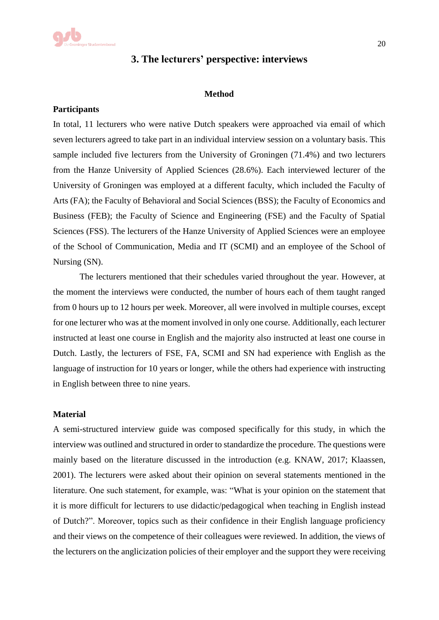## **3. The lecturers' perspective: interviews**

#### **Method**

#### **Participants**

In total, 11 lecturers who were native Dutch speakers were approached via email of which seven lecturers agreed to take part in an individual interview session on a voluntary basis. This sample included five lecturers from the University of Groningen (71.4%) and two lecturers from the Hanze University of Applied Sciences (28.6%). Each interviewed lecturer of the University of Groningen was employed at a different faculty, which included the Faculty of Arts (FA); the Faculty of Behavioral and Social Sciences (BSS); the Faculty of Economics and Business (FEB); the Faculty of Science and Engineering (FSE) and the Faculty of Spatial Sciences (FSS). The lecturers of the Hanze University of Applied Sciences were an employee of the School of Communication, Media and IT (SCMI) and an employee of the School of Nursing (SN).

The lecturers mentioned that their schedules varied throughout the year. However, at the moment the interviews were conducted, the number of hours each of them taught ranged from 0 hours up to 12 hours per week. Moreover, all were involved in multiple courses, except for one lecturer who was at the moment involved in only one course. Additionally, each lecturer instructed at least one course in English and the majority also instructed at least one course in Dutch. Lastly, the lecturers of FSE, FA, SCMI and SN had experience with English as the language of instruction for 10 years or longer, while the others had experience with instructing in English between three to nine years.

#### **Material**

A semi-structured interview guide was composed specifically for this study, in which the interview was outlined and structured in order to standardize the procedure. The questions were mainly based on the literature discussed in the introduction (e.g. KNAW, 2017; Klaassen, 2001). The lecturers were asked about their opinion on several statements mentioned in the literature. One such statement, for example, was: "What is your opinion on the statement that it is more difficult for lecturers to use didactic/pedagogical when teaching in English instead of Dutch?". Moreover, topics such as their confidence in their English language proficiency and their views on the competence of their colleagues were reviewed. In addition, the views of the lecturers on the anglicization policies of their employer and the support they were receiving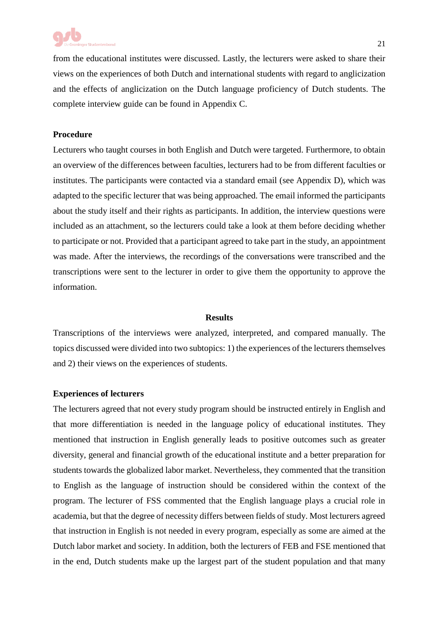

from the educational institutes were discussed. Lastly, the lecturers were asked to share their views on the experiences of both Dutch and international students with regard to anglicization and the effects of anglicization on the Dutch language proficiency of Dutch students. The complete interview guide can be found in Appendix C.

#### **Procedure**

Lecturers who taught courses in both English and Dutch were targeted. Furthermore, to obtain an overview of the differences between faculties, lecturers had to be from different faculties or institutes. The participants were contacted via a standard email (see Appendix D), which was adapted to the specific lecturer that was being approached. The email informed the participants about the study itself and their rights as participants. In addition, the interview questions were included as an attachment, so the lecturers could take a look at them before deciding whether to participate or not. Provided that a participant agreed to take part in the study, an appointment was made. After the interviews, the recordings of the conversations were transcribed and the transcriptions were sent to the lecturer in order to give them the opportunity to approve the information.

#### **Results**

Transcriptions of the interviews were analyzed, interpreted, and compared manually. The topics discussed were divided into two subtopics: 1) the experiences of the lecturers themselves and 2) their views on the experiences of students.

#### **Experiences of lecturers**

The lecturers agreed that not every study program should be instructed entirely in English and that more differentiation is needed in the language policy of educational institutes. They mentioned that instruction in English generally leads to positive outcomes such as greater diversity, general and financial growth of the educational institute and a better preparation for students towards the globalized labor market. Nevertheless, they commented that the transition to English as the language of instruction should be considered within the context of the program. The lecturer of FSS commented that the English language plays a crucial role in academia, but that the degree of necessity differs between fields of study. Most lecturers agreed that instruction in English is not needed in every program, especially as some are aimed at the Dutch labor market and society. In addition, both the lecturers of FEB and FSE mentioned that in the end, Dutch students make up the largest part of the student population and that many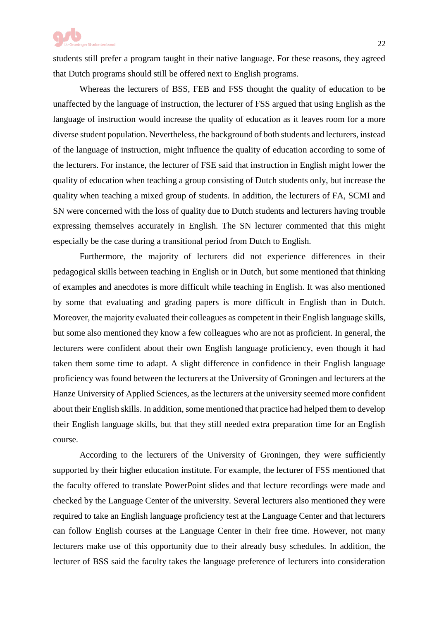

students still prefer a program taught in their native language. For these reasons, they agreed that Dutch programs should still be offered next to English programs.

Whereas the lecturers of BSS, FEB and FSS thought the quality of education to be unaffected by the language of instruction, the lecturer of FSS argued that using English as the language of instruction would increase the quality of education as it leaves room for a more diverse student population. Nevertheless, the background of both students and lecturers, instead of the language of instruction, might influence the quality of education according to some of the lecturers. For instance, the lecturer of FSE said that instruction in English might lower the quality of education when teaching a group consisting of Dutch students only, but increase the quality when teaching a mixed group of students. In addition, the lecturers of FA, SCMI and SN were concerned with the loss of quality due to Dutch students and lecturers having trouble expressing themselves accurately in English. The SN lecturer commented that this might especially be the case during a transitional period from Dutch to English.

Furthermore, the majority of lecturers did not experience differences in their pedagogical skills between teaching in English or in Dutch, but some mentioned that thinking of examples and anecdotes is more difficult while teaching in English. It was also mentioned by some that evaluating and grading papers is more difficult in English than in Dutch. Moreover, the majority evaluated their colleagues as competent in their English language skills, but some also mentioned they know a few colleagues who are not as proficient. In general, the lecturers were confident about their own English language proficiency, even though it had taken them some time to adapt. A slight difference in confidence in their English language proficiency was found between the lecturers at the University of Groningen and lecturers at the Hanze University of Applied Sciences, as the lecturers at the university seemed more confident about their English skills. In addition, some mentioned that practice had helped them to develop their English language skills, but that they still needed extra preparation time for an English course.

According to the lecturers of the University of Groningen, they were sufficiently supported by their higher education institute. For example, the lecturer of FSS mentioned that the faculty offered to translate PowerPoint slides and that lecture recordings were made and checked by the Language Center of the university. Several lecturers also mentioned they were required to take an English language proficiency test at the Language Center and that lecturers can follow English courses at the Language Center in their free time. However, not many lecturers make use of this opportunity due to their already busy schedules. In addition, the lecturer of BSS said the faculty takes the language preference of lecturers into consideration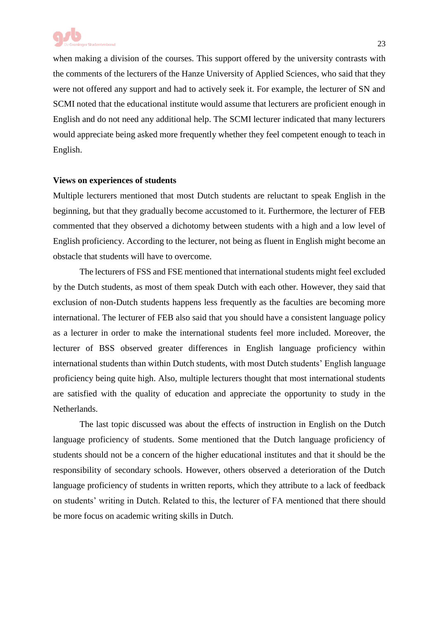when making a division of the courses. This support offered by the university contrasts with the comments of the lecturers of the Hanze University of Applied Sciences, who said that they were not offered any support and had to actively seek it. For example, the lecturer of SN and SCMI noted that the educational institute would assume that lecturers are proficient enough in English and do not need any additional help. The SCMI lecturer indicated that many lecturers would appreciate being asked more frequently whether they feel competent enough to teach in English.

#### **Views on experiences of students**

Multiple lecturers mentioned that most Dutch students are reluctant to speak English in the beginning, but that they gradually become accustomed to it. Furthermore, the lecturer of FEB commented that they observed a dichotomy between students with a high and a low level of English proficiency. According to the lecturer, not being as fluent in English might become an obstacle that students will have to overcome.

The lecturers of FSS and FSE mentioned that international students might feel excluded by the Dutch students, as most of them speak Dutch with each other. However, they said that exclusion of non-Dutch students happens less frequently as the faculties are becoming more international. The lecturer of FEB also said that you should have a consistent language policy as a lecturer in order to make the international students feel more included. Moreover, the lecturer of BSS observed greater differences in English language proficiency within international students than within Dutch students, with most Dutch students' English language proficiency being quite high. Also, multiple lecturers thought that most international students are satisfied with the quality of education and appreciate the opportunity to study in the Netherlands.

The last topic discussed was about the effects of instruction in English on the Dutch language proficiency of students. Some mentioned that the Dutch language proficiency of students should not be a concern of the higher educational institutes and that it should be the responsibility of secondary schools. However, others observed a deterioration of the Dutch language proficiency of students in written reports, which they attribute to a lack of feedback on students' writing in Dutch. Related to this, the lecturer of FA mentioned that there should be more focus on academic writing skills in Dutch.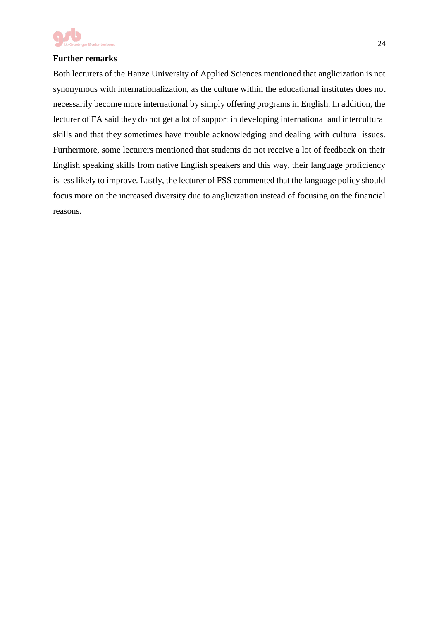

## **Further remarks**

Both lecturers of the Hanze University of Applied Sciences mentioned that anglicization is not synonymous with internationalization, as the culture within the educational institutes does not necessarily become more international by simply offering programs in English. In addition, the lecturer of FA said they do not get a lot of support in developing international and intercultural skills and that they sometimes have trouble acknowledging and dealing with cultural issues. Furthermore, some lecturers mentioned that students do not receive a lot of feedback on their English speaking skills from native English speakers and this way, their language proficiency is less likely to improve. Lastly, the lecturer of FSS commented that the language policy should focus more on the increased diversity due to anglicization instead of focusing on the financial reasons.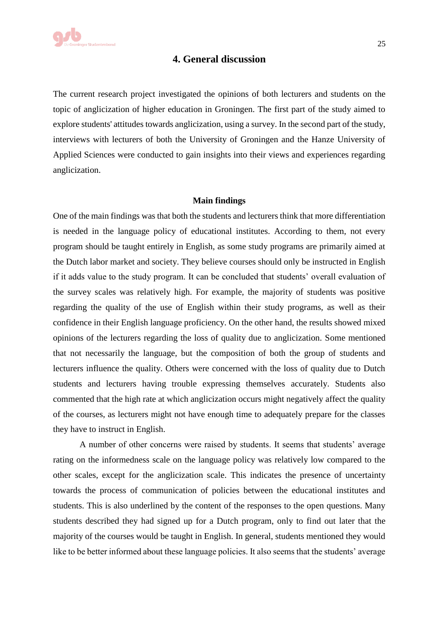## **4. General discussion**

The current research project investigated the opinions of both lecturers and students on the topic of anglicization of higher education in Groningen. The first part of the study aimed to explore students' attitudes towards anglicization, using a survey. In the second part of the study, interviews with lecturers of both the University of Groningen and the Hanze University of Applied Sciences were conducted to gain insights into their views and experiences regarding anglicization.

#### **Main findings**

One of the main findings was that both the students and lecturers think that more differentiation is needed in the language policy of educational institutes. According to them, not every program should be taught entirely in English, as some study programs are primarily aimed at the Dutch labor market and society. They believe courses should only be instructed in English if it adds value to the study program. It can be concluded that students' overall evaluation of the survey scales was relatively high. For example, the majority of students was positive regarding the quality of the use of English within their study programs, as well as their confidence in their English language proficiency. On the other hand, the results showed mixed opinions of the lecturers regarding the loss of quality due to anglicization. Some mentioned that not necessarily the language, but the composition of both the group of students and lecturers influence the quality. Others were concerned with the loss of quality due to Dutch students and lecturers having trouble expressing themselves accurately. Students also commented that the high rate at which anglicization occurs might negatively affect the quality of the courses, as lecturers might not have enough time to adequately prepare for the classes they have to instruct in English.

A number of other concerns were raised by students. It seems that students' average rating on the informedness scale on the language policy was relatively low compared to the other scales, except for the anglicization scale. This indicates the presence of uncertainty towards the process of communication of policies between the educational institutes and students. This is also underlined by the content of the responses to the open questions. Many students described they had signed up for a Dutch program, only to find out later that the majority of the courses would be taught in English. In general, students mentioned they would like to be better informed about these language policies. It also seems that the students' average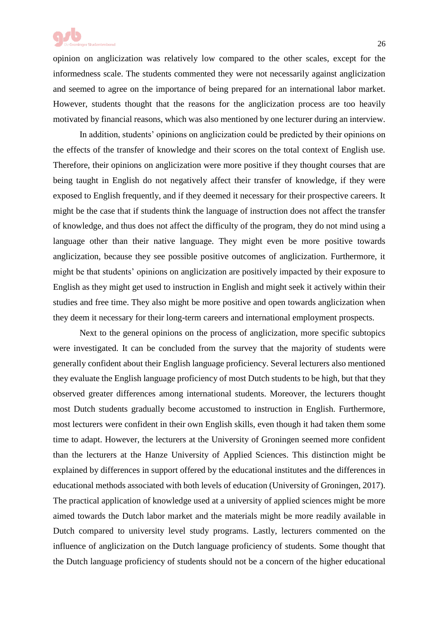

opinion on anglicization was relatively low compared to the other scales, except for the informedness scale. The students commented they were not necessarily against anglicization and seemed to agree on the importance of being prepared for an international labor market. However, students thought that the reasons for the anglicization process are too heavily motivated by financial reasons, which was also mentioned by one lecturer during an interview.

In addition, students' opinions on anglicization could be predicted by their opinions on the effects of the transfer of knowledge and their scores on the total context of English use. Therefore, their opinions on anglicization were more positive if they thought courses that are being taught in English do not negatively affect their transfer of knowledge, if they were exposed to English frequently, and if they deemed it necessary for their prospective careers. It might be the case that if students think the language of instruction does not affect the transfer of knowledge, and thus does not affect the difficulty of the program, they do not mind using a language other than their native language. They might even be more positive towards anglicization, because they see possible positive outcomes of anglicization. Furthermore, it might be that students' opinions on anglicization are positively impacted by their exposure to English as they might get used to instruction in English and might seek it actively within their studies and free time. They also might be more positive and open towards anglicization when they deem it necessary for their long-term careers and international employment prospects.

Next to the general opinions on the process of anglicization, more specific subtopics were investigated. It can be concluded from the survey that the majority of students were generally confident about their English language proficiency. Several lecturers also mentioned they evaluate the English language proficiency of most Dutch students to be high, but that they observed greater differences among international students. Moreover, the lecturers thought most Dutch students gradually become accustomed to instruction in English. Furthermore, most lecturers were confident in their own English skills, even though it had taken them some time to adapt. However, the lecturers at the University of Groningen seemed more confident than the lecturers at the Hanze University of Applied Sciences. This distinction might be explained by differences in support offered by the educational institutes and the differences in educational methods associated with both levels of education (University of Groningen, 2017). The practical application of knowledge used at a university of applied sciences might be more aimed towards the Dutch labor market and the materials might be more readily available in Dutch compared to university level study programs. Lastly, lecturers commented on the influence of anglicization on the Dutch language proficiency of students. Some thought that the Dutch language proficiency of students should not be a concern of the higher educational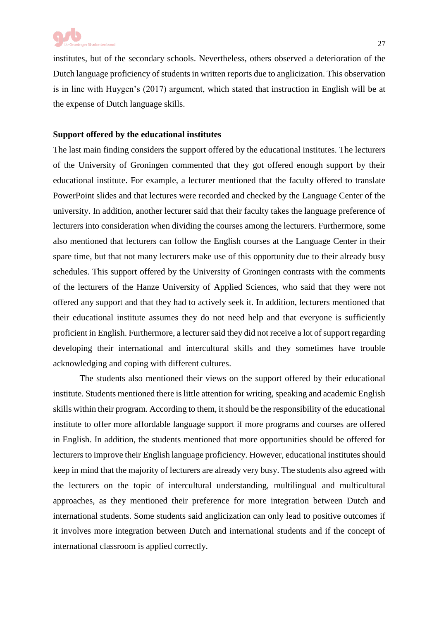

institutes, but of the secondary schools. Nevertheless, others observed a deterioration of the Dutch language proficiency of students in written reports due to anglicization. This observation is in line with Huygen's (2017) argument, which stated that instruction in English will be at the expense of Dutch language skills.

#### **Support offered by the educational institutes**

The last main finding considers the support offered by the educational institutes. The lecturers of the University of Groningen commented that they got offered enough support by their educational institute. For example, a lecturer mentioned that the faculty offered to translate PowerPoint slides and that lectures were recorded and checked by the Language Center of the university. In addition, another lecturer said that their faculty takes the language preference of lecturers into consideration when dividing the courses among the lecturers. Furthermore, some also mentioned that lecturers can follow the English courses at the Language Center in their spare time, but that not many lecturers make use of this opportunity due to their already busy schedules. This support offered by the University of Groningen contrasts with the comments of the lecturers of the Hanze University of Applied Sciences, who said that they were not offered any support and that they had to actively seek it. In addition, lecturers mentioned that their educational institute assumes they do not need help and that everyone is sufficiently proficient in English. Furthermore, a lecturer said they did not receive a lot of support regarding developing their international and intercultural skills and they sometimes have trouble acknowledging and coping with different cultures.

The students also mentioned their views on the support offered by their educational institute. Students mentioned there is little attention for writing, speaking and academic English skills within their program. According to them, it should be the responsibility of the educational institute to offer more affordable language support if more programs and courses are offered in English. In addition, the students mentioned that more opportunities should be offered for lecturers to improve their English language proficiency. However, educational institutes should keep in mind that the majority of lecturers are already very busy. The students also agreed with the lecturers on the topic of intercultural understanding, multilingual and multicultural approaches, as they mentioned their preference for more integration between Dutch and international students. Some students said anglicization can only lead to positive outcomes if it involves more integration between Dutch and international students and if the concept of international classroom is applied correctly.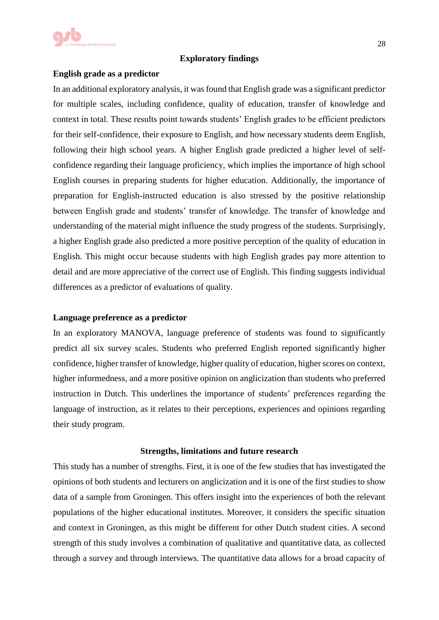

#### **Exploratory findings**

#### **English grade as a predictor**

In an additional exploratory analysis, it was found that English grade was a significant predictor for multiple scales, including confidence, quality of education, transfer of knowledge and context in total. These results point towards students' English grades to be efficient predictors for their self-confidence, their exposure to English, and how necessary students deem English, following their high school years. A higher English grade predicted a higher level of selfconfidence regarding their language proficiency, which implies the importance of high school English courses in preparing students for higher education. Additionally, the importance of preparation for English-instructed education is also stressed by the positive relationship between English grade and students' transfer of knowledge. The transfer of knowledge and understanding of the material might influence the study progress of the students. Surprisingly, a higher English grade also predicted a more positive perception of the quality of education in English. This might occur because students with high English grades pay more attention to detail and are more appreciative of the correct use of English. This finding suggests individual differences as a predictor of evaluations of quality.

#### **Language preference as a predictor**

In an exploratory MANOVA, language preference of students was found to significantly predict all six survey scales. Students who preferred English reported significantly higher confidence, higher transfer of knowledge, higher quality of education, higher scores on context, higher informedness, and a more positive opinion on anglicization than students who preferred instruction in Dutch. This underlines the importance of students' preferences regarding the language of instruction, as it relates to their perceptions, experiences and opinions regarding their study program.

#### **Strengths, limitations and future research**

This study has a number of strengths. First, it is one of the few studies that has investigated the opinions of both students and lecturers on anglicization and it is one of the first studies to show data of a sample from Groningen. This offers insight into the experiences of both the relevant populations of the higher educational institutes. Moreover, it considers the specific situation and context in Groningen, as this might be different for other Dutch student cities. A second strength of this study involves a combination of qualitative and quantitative data, as collected through a survey and through interviews. The quantitative data allows for a broad capacity of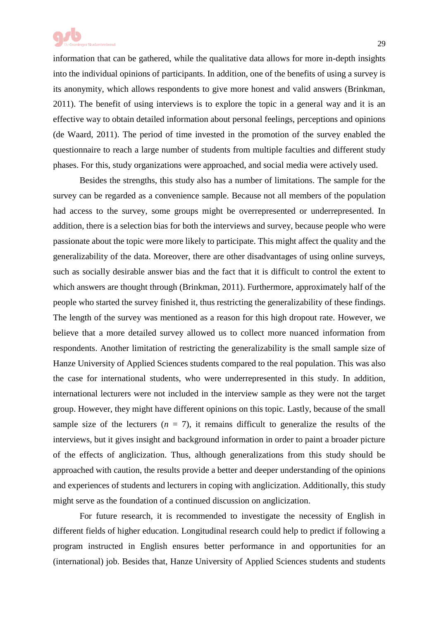

information that can be gathered, while the qualitative data allows for more in-depth insights into the individual opinions of participants. In addition, one of the benefits of using a survey is its anonymity, which allows respondents to give more honest and valid answers (Brinkman, 2011). The benefit of using interviews is to explore the topic in a general way and it is an effective way to obtain detailed information about personal feelings, perceptions and opinions (de Waard, 2011). The period of time invested in the promotion of the survey enabled the questionnaire to reach a large number of students from multiple faculties and different study phases. For this, study organizations were approached, and social media were actively used.

Besides the strengths, this study also has a number of limitations. The sample for the survey can be regarded as a convenience sample. Because not all members of the population had access to the survey, some groups might be overrepresented or underrepresented. In addition, there is a selection bias for both the interviews and survey, because people who were passionate about the topic were more likely to participate. This might affect the quality and the generalizability of the data. Moreover, there are other disadvantages of using online surveys, such as socially desirable answer bias and the fact that it is difficult to control the extent to which answers are thought through (Brinkman, 2011). Furthermore, approximately half of the people who started the survey finished it, thus restricting the generalizability of these findings. The length of the survey was mentioned as a reason for this high dropout rate. However, we believe that a more detailed survey allowed us to collect more nuanced information from respondents. Another limitation of restricting the generalizability is the small sample size of Hanze University of Applied Sciences students compared to the real population. This was also the case for international students, who were underrepresented in this study. In addition, international lecturers were not included in the interview sample as they were not the target group. However, they might have different opinions on this topic. Lastly, because of the small sample size of the lecturers  $(n = 7)$ , it remains difficult to generalize the results of the interviews, but it gives insight and background information in order to paint a broader picture of the effects of anglicization. Thus, although generalizations from this study should be approached with caution, the results provide a better and deeper understanding of the opinions and experiences of students and lecturers in coping with anglicization. Additionally, this study might serve as the foundation of a continued discussion on anglicization.

For future research, it is recommended to investigate the necessity of English in different fields of higher education. Longitudinal research could help to predict if following a program instructed in English ensures better performance in and opportunities for an (international) job. Besides that, Hanze University of Applied Sciences students and students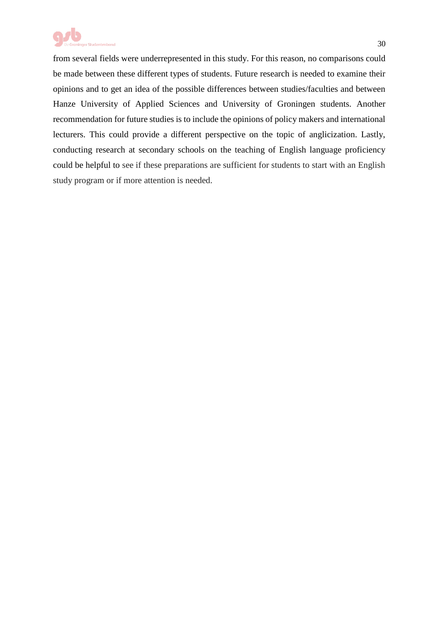

from several fields were underrepresented in this study. For this reason, no comparisons could be made between these different types of students. Future research is needed to examine their opinions and to get an idea of the possible differences between studies/faculties and between Hanze University of Applied Sciences and University of Groningen students. Another recommendation for future studies is to include the opinions of policy makers and international lecturers. This could provide a different perspective on the topic of anglicization. Lastly, conducting research at secondary schools on the teaching of English language proficiency could be helpful to see if these preparations are sufficient for students to start with an English study program or if more attention is needed.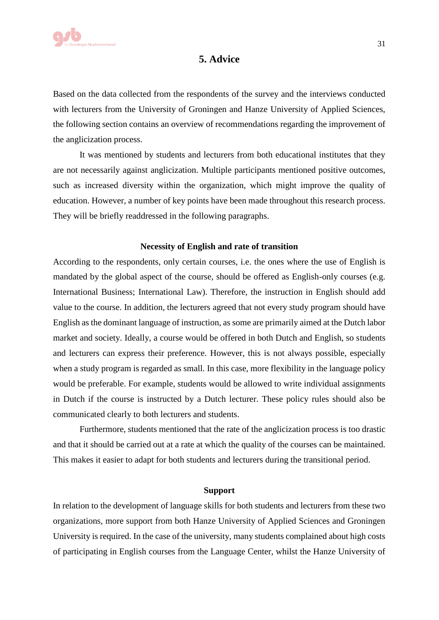

## **5. Advice**

Based on the data collected from the respondents of the survey and the interviews conducted with lecturers from the University of Groningen and Hanze University of Applied Sciences, the following section contains an overview of recommendations regarding the improvement of the anglicization process.

It was mentioned by students and lecturers from both educational institutes that they are not necessarily against anglicization. Multiple participants mentioned positive outcomes, such as increased diversity within the organization, which might improve the quality of education. However, a number of key points have been made throughout this research process. They will be briefly readdressed in the following paragraphs.

#### **Necessity of English and rate of transition**

According to the respondents, only certain courses, i.e. the ones where the use of English is mandated by the global aspect of the course, should be offered as English-only courses (e.g. International Business; International Law). Therefore, the instruction in English should add value to the course. In addition, the lecturers agreed that not every study program should have English as the dominant language of instruction, as some are primarily aimed at the Dutch labor market and society. Ideally, a course would be offered in both Dutch and English, so students and lecturers can express their preference. However, this is not always possible, especially when a study program is regarded as small. In this case, more flexibility in the language policy would be preferable. For example, students would be allowed to write individual assignments in Dutch if the course is instructed by a Dutch lecturer. These policy rules should also be communicated clearly to both lecturers and students.

Furthermore, students mentioned that the rate of the anglicization process is too drastic and that it should be carried out at a rate at which the quality of the courses can be maintained. This makes it easier to adapt for both students and lecturers during the transitional period.

#### **Support**

In relation to the development of language skills for both students and lecturers from these two organizations, more support from both Hanze University of Applied Sciences and Groningen University is required. In the case of the university, many students complained about high costs of participating in English courses from the Language Center, whilst the Hanze University of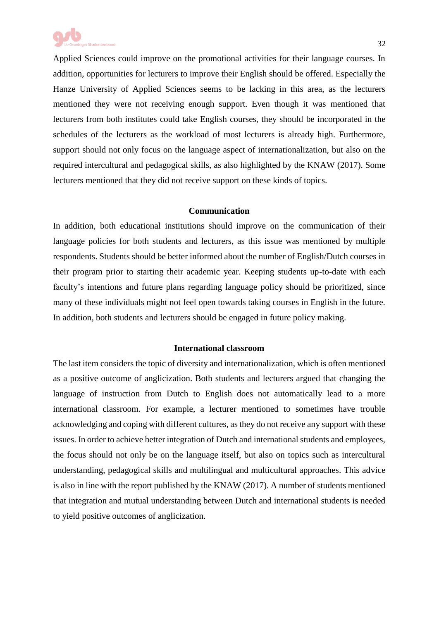

Applied Sciences could improve on the promotional activities for their language courses. In addition, opportunities for lecturers to improve their English should be offered. Especially the Hanze University of Applied Sciences seems to be lacking in this area, as the lecturers mentioned they were not receiving enough support. Even though it was mentioned that lecturers from both institutes could take English courses, they should be incorporated in the schedules of the lecturers as the workload of most lecturers is already high. Furthermore, support should not only focus on the language aspect of internationalization, but also on the required intercultural and pedagogical skills, as also highlighted by the KNAW (2017). Some lecturers mentioned that they did not receive support on these kinds of topics.

#### **Communication**

In addition, both educational institutions should improve on the communication of their language policies for both students and lecturers, as this issue was mentioned by multiple respondents. Students should be better informed about the number of English/Dutch courses in their program prior to starting their academic year. Keeping students up-to-date with each faculty's intentions and future plans regarding language policy should be prioritized, since many of these individuals might not feel open towards taking courses in English in the future. In addition, both students and lecturers should be engaged in future policy making.

#### **International classroom**

The last item considers the topic of diversity and internationalization, which is often mentioned as a positive outcome of anglicization. Both students and lecturers argued that changing the language of instruction from Dutch to English does not automatically lead to a more international classroom. For example, a lecturer mentioned to sometimes have trouble acknowledging and coping with different cultures, as they do not receive any support with these issues. In order to achieve better integration of Dutch and international students and employees, the focus should not only be on the language itself, but also on topics such as intercultural understanding, pedagogical skills and multilingual and multicultural approaches. This advice is also in line with the report published by the KNAW (2017). A number of students mentioned that integration and mutual understanding between Dutch and international students is needed to yield positive outcomes of anglicization.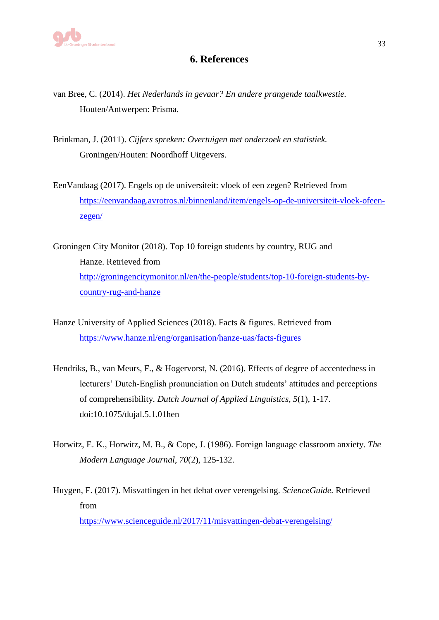

## **6. References**

- van Bree, C. (2014). *Het Nederlands in gevaar? En andere prangende taalkwestie.* Houten/Antwerpen: Prisma.
- Brinkman, J. (2011). *Cijfers spreken: Overtuigen met onderzoek en statistiek.* Groningen/Houten: Noordhoff Uitgevers.
- EenVandaag (2017). Engels op de universiteit: vloek of een zegen? Retrieved from [https://eenvandaag.avrotros.nl/binnenland/item/engels-op-de-universiteit-vloek-ofeen](https://eenvandaag.avrotros.nl/binnenland/item/engels-op-de-universiteit-vloek-ofeen-zegen/)[zegen/](https://eenvandaag.avrotros.nl/binnenland/item/engels-op-de-universiteit-vloek-ofeen-zegen/)
- Groningen City Monitor (2018). Top 10 foreign students by country, RUG and Hanze. Retrieved from [http://groningencitymonitor.nl/en/the-people/students/top-10-foreign-students-by](http://groningencitymonitor.nl/en/the-people/students/top-10-foreign-students-by-country-rug-and-hanze)[country-rug-and-hanze](http://groningencitymonitor.nl/en/the-people/students/top-10-foreign-students-by-country-rug-and-hanze)
- Hanze University of Applied Sciences (2018). Facts & figures. Retrieved from <https://www.hanze.nl/eng/organisation/hanze-uas/facts-figures>
- Hendriks, B., van Meurs, F., & Hogervorst, N. (2016). Effects of degree of accentedness in lecturers' Dutch-English pronunciation on Dutch students' attitudes and perceptions of comprehensibility. *Dutch Journal of Applied Linguistics*, *5*(1), 1-17. doi:10.1075/dujal.5.1.01hen
- Horwitz, E. K., Horwitz, M. B., & Cope, J. (1986). Foreign language classroom anxiety. *The Modern Language Journal*, *70*(2), 125-132.
- Huygen, F. (2017). Misvattingen in het debat over verengelsing. *ScienceGuide.* Retrieved from <https://www.scienceguide.nl/2017/11/misvattingen-debat-verengelsing/>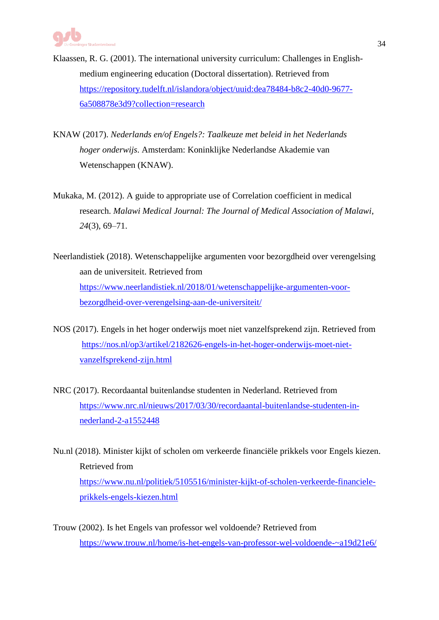- Klaassen, R. G. (2001). The international university curriculum: Challenges in Englishmedium engineering education (Doctoral dissertation). Retrieved from [https://repository.tudelft.nl/islandora/object/uuid:dea78484-b8c2-40d0-9677-](https://repository.tudelft.nl/islandora/object/uuid:dea78484-b8c2-40d0-9677-6a508878e3d9?collection=research) [6a508878e3d9?collection=research](https://repository.tudelft.nl/islandora/object/uuid:dea78484-b8c2-40d0-9677-6a508878e3d9?collection=research)
- KNAW (2017). *Nederlands en/of Engels?: Taalkeuze met beleid in het Nederlands hoger onderwijs*. Amsterdam: Koninklijke Nederlandse Akademie van Wetenschappen (KNAW).
- Mukaka, M. (2012). A guide to appropriate use of Correlation coefficient in medical research. *Malawi Medical Journal: The Journal of Medical Association of Malawi*, *24*(3), 69–71.
- Neerlandistiek (2018). Wetenschappelijke argumenten voor bezorgdheid over verengelsing aan de universiteit. Retrieved from [https://www.neerlandistiek.nl/2018/01/wetenschappelijke-argumenten-voor](https://www.neerlandistiek.nl/2018/01/wetenschappelijke-argumenten-voor-bezorgdheid-over-verengelsing-aan-de-universiteit/)[bezorgdheid-over-verengelsing-aan-de-universiteit/](https://www.neerlandistiek.nl/2018/01/wetenschappelijke-argumenten-voor-bezorgdheid-over-verengelsing-aan-de-universiteit/)
- NOS (2017). Engels in het hoger onderwijs moet niet vanzelfsprekend zijn. Retrieved from [https://nos.nl/op3/artikel/2182626-engels-in-het-hoger-onderwijs-moet-niet](https://nos.nl/op3/artikel/2182626-engels-in-het-hoger-onderwijs-moet-niet-vanzelfsprekend-zijn.html)[vanzelfsprekend-zijn.html](https://nos.nl/op3/artikel/2182626-engels-in-het-hoger-onderwijs-moet-niet-vanzelfsprekend-zijn.html)
- NRC (2017). Recordaantal buitenlandse studenten in Nederland. Retrieved from [https://www.nrc.nl/nieuws/2017/03/30/recordaantal-buitenlandse-studenten-in](https://www.nrc.nl/nieuws/2017/03/30/recordaantal-buitenlandse-studenten-in-nederland-2-a1552448)[nederland-2-a1552448](https://www.nrc.nl/nieuws/2017/03/30/recordaantal-buitenlandse-studenten-in-nederland-2-a1552448)
- Nu.nl (2018). Minister kijkt of scholen om verkeerde financiële prikkels voor Engels kiezen. Retrieved from [https://www.nu.nl/politiek/5105516/minister-kijkt-of-scholen-verkeerde-financiele](https://www.nu.nl/politiek/5105516/minister-kijkt-of-scholen-verkeerde-financiele-prikkels-engels-kiezen.html)[prikkels-engels-kiezen.html](https://www.nu.nl/politiek/5105516/minister-kijkt-of-scholen-verkeerde-financiele-prikkels-engels-kiezen.html)
- Trouw (2002). Is het Engels van professor wel voldoende? Retrieved from <https://www.trouw.nl/home/is-het-engels-van-professor-wel-voldoende-~a19d21e6/>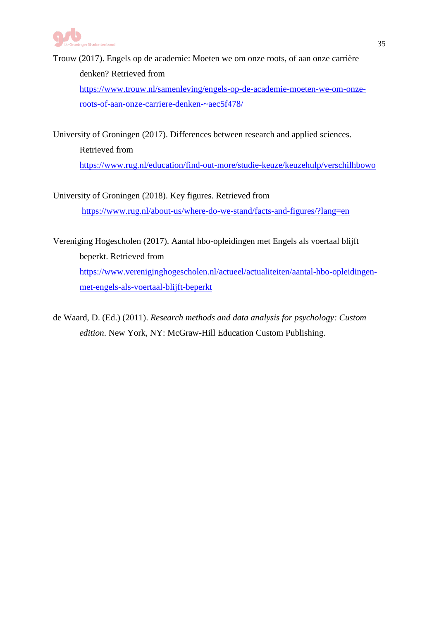

[https://www.trouw.nl/samenleving/engels-op-de-academie-moeten-we-om-onze](https://www.trouw.nl/samenleving/engels-op-de-academie-moeten-we-om-onze-roots-of-aan-onze-carriere-denken-~aec5f478/)[roots-of-aan-onze-carriere-denken-~aec5f478/](https://www.trouw.nl/samenleving/engels-op-de-academie-moeten-we-om-onze-roots-of-aan-onze-carriere-denken-~aec5f478/)

University of Groningen (2017). Differences between research and applied sciences. Retrieved from <https://www.rug.nl/education/find-out-more/studie-keuze/keuzehulp/verschilhbowo>

University of Groningen (2018). Key figures. Retrieved from <https://www.rug.nl/about-us/where-do-we-stand/facts-and-figures/?lang=en>

Vereniging Hogescholen (2017). Aantal hbo-opleidingen met Engels als voertaal blijft beperkt. Retrieved from [https://www.vereniginghogescholen.nl/actueel/actualiteiten/aantal-hbo-opleidingen](https://www.vereniginghogescholen.nl/actueel/actualiteiten/aantal-hbo-opleidingen-met-engels-als-voertaal-blijft-beperkt)[met-engels-als-voertaal-blijft-beperkt](https://www.vereniginghogescholen.nl/actueel/actualiteiten/aantal-hbo-opleidingen-met-engels-als-voertaal-blijft-beperkt)

de Waard, D. (Ed.) (2011). *Research methods and data analysis for psychology: Custom edition*. New York, NY: McGraw-Hill Education Custom Publishing.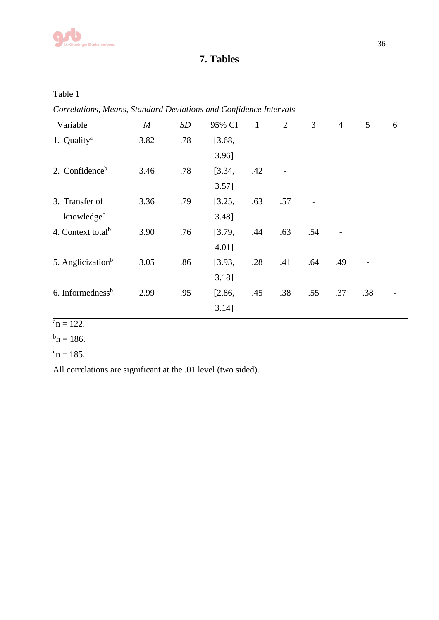

## **7. Tables**

Table 1

*Correlations, Means, Standard Deviations and Confidence Intervals*

| Variable                      | $\boldsymbol{M}$ | SD  | 95% CI   | $\mathbf{1}$ | 2   | 3   | $\overline{4}$ | 5   | 6 |
|-------------------------------|------------------|-----|----------|--------------|-----|-----|----------------|-----|---|
| 1. Quality <sup>a</sup>       | 3.82             | .78 | [3.68,   |              |     |     |                |     |   |
|                               |                  |     | $3.96$ ] |              |     |     |                |     |   |
| 2. Confidence <sup>b</sup>    | 3.46             | .78 | [3.34,   | .42          |     |     |                |     |   |
|                               |                  |     | $3.57$ ] |              |     |     |                |     |   |
| 3. Transfer of                | 3.36             | .79 | [3.25,   | .63          | .57 |     |                |     |   |
| knowledge <sup>c</sup>        |                  |     | 3.48]    |              |     |     |                |     |   |
| 4. Context total <sup>b</sup> | 3.90             | .76 | [3.79,   | .44          | .63 | .54 |                |     |   |
|                               |                  |     | 4.01]    |              |     |     |                |     |   |
| 5. Anglicization <sup>b</sup> | 3.05             | .86 | [3.93,   | .28          | .41 | .64 | .49            |     |   |
|                               |                  |     | $3.18$ ] |              |     |     |                |     |   |
| 6. Informedness <sup>b</sup>  | 2.99             | .95 | [2.86,   | .45          | .38 | .55 | .37            | .38 |   |
|                               |                  |     | $3.14$ ] |              |     |     |                |     |   |

## $a_n = 122$ .

 $^{\rm b}$ n = 186.

 $c_n = 185.$ 

All correlations are significant at the .01 level (two sided).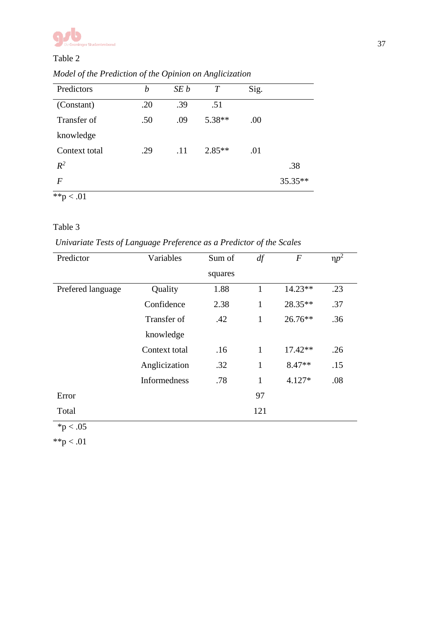

### Table 2

| Predictors                                       | b   | SE b | $\overline{T}$ | Sig. |         |
|--------------------------------------------------|-----|------|----------------|------|---------|
| (Constant)                                       | .20 | .39  | .51            |      |         |
| Transfer of                                      | .50 | .09  | 5.38**         | .00  |         |
| knowledge                                        |     |      |                |      |         |
| Context total                                    | .29 | .11  | $2.85**$       | .01  |         |
| $R^2$                                            |     |      |                |      | .38     |
| $\bm{F}$                                         |     |      |                |      | 35.35** |
| $*$ <sup>*</sup> p<br>$\stackrel{<}{_{\sim}}.01$ |     |      |                |      |         |

*Model of the Prediction of the Opinion on Anglicization*

## Table 3

*Univariate Tests of Language Preference as a Predictor of the Scales*

| Predictor         | Variables           | Sum of  | df           | $\boldsymbol{F}$ | $np^2$ |
|-------------------|---------------------|---------|--------------|------------------|--------|
|                   |                     | squares |              |                  |        |
| Prefered language | Quality             | 1.88    | 1            | $14.23**$        | .23    |
|                   | Confidence          | 2.38    | $\mathbf{1}$ | 28.35**          | .37    |
|                   | Transfer of         | .42     | $\mathbf{1}$ | $26.76**$        | .36    |
|                   | knowledge           |         |              |                  |        |
|                   | Context total       | .16     | 1            | $17.42**$        | .26    |
|                   | Anglicization       | .32     | 1            | $8.47**$         | .15    |
|                   | <b>Informedness</b> | .78     | 1            | $4.127*$         | .08    |
| Error             |                     |         | 97           |                  |        |
| Total             |                     |         | 121          |                  |        |

 $*p < .05$ 

 $*$  $p < .01$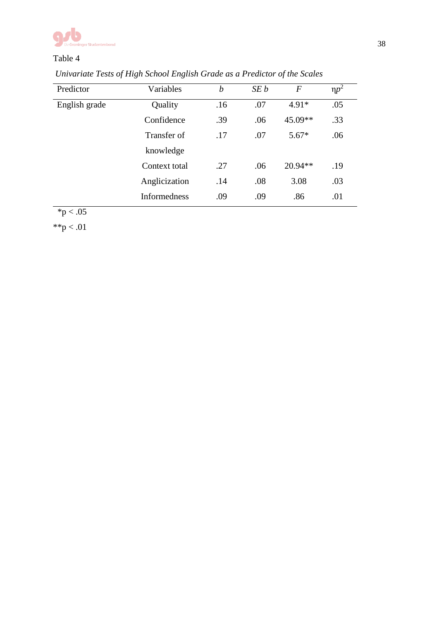

## Table 4

| Predictor     | Variables           | b   | SE b | $\boldsymbol{F}$ | $np^2$ |  |
|---------------|---------------------|-----|------|------------------|--------|--|
| English grade | Quality             | .16 | .07  | $4.91*$          | .05    |  |
|               | Confidence          | .39 | .06  | 45.09**          | .33    |  |
|               | Transfer of         | .17 | .07  | $5.67*$          | .06    |  |
|               | knowledge           |     |      |                  |        |  |
|               | Context total       | .27 | .06  | $20.94**$        | .19    |  |
|               | Anglicization       | .14 | .08  | 3.08             | .03    |  |
|               | <b>Informedness</b> | .09 | .09  | .86              | .01    |  |

*Univariate Tests of High School English Grade as a Predictor of the Scales*

 $*p < .05$ 

 $*$  $p < .01$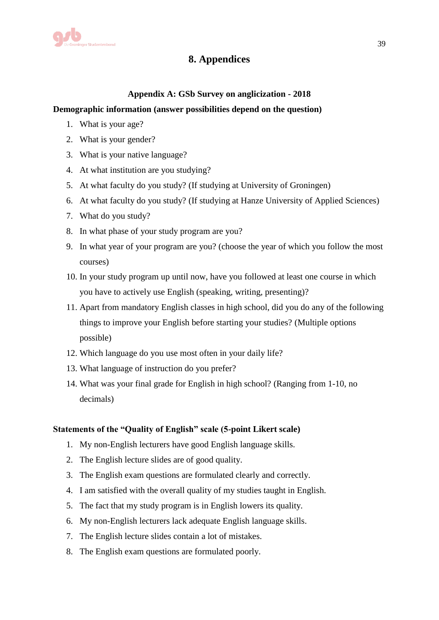

## **8. Appendices**

## **Appendix A: GSb Survey on anglicization - 2018**

## **Demographic information (answer possibilities depend on the question)**

- 1. What is your age?
- 2. What is your gender?
- 3. What is your native language?
- 4. At what institution are you studying?
- 5. At what faculty do you study? (If studying at University of Groningen)
- 6. At what faculty do you study? (If studying at Hanze University of Applied Sciences)
- 7. What do you study?
- 8. In what phase of your study program are you?
- 9. In what year of your program are you? (choose the year of which you follow the most courses)
- 10. In your study program up until now, have you followed at least one course in which you have to actively use English (speaking, writing, presenting)?
- 11. Apart from mandatory English classes in high school, did you do any of the following things to improve your English before starting your studies? (Multiple options possible)
- 12. Which language do you use most often in your daily life?
- 13. What language of instruction do you prefer?
- 14. What was your final grade for English in high school? (Ranging from 1-10, no decimals)

## **Statements of the "Quality of English" scale (5-point Likert scale)**

- 1. My non-English lecturers have good English language skills.
- 2. The English lecture slides are of good quality.
- 3. The English exam questions are formulated clearly and correctly.
- 4. I am satisfied with the overall quality of my studies taught in English.
- 5. The fact that my study program is in English lowers its quality.
- 6. My non-English lecturers lack adequate English language skills.
- 7. The English lecture slides contain a lot of mistakes.
- 8. The English exam questions are formulated poorly.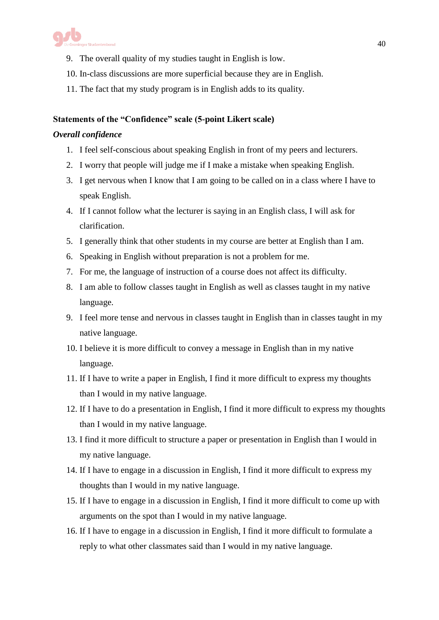

- 9. The overall quality of my studies taught in English is low.
- 10. In-class discussions are more superficial because they are in English.
- 11. The fact that my study program is in English adds to its quality.

## **Statements of the "Confidence" scale (5-point Likert scale)**

#### *Overall confidence*

- 1. I feel self-conscious about speaking English in front of my peers and lecturers.
- 2. I worry that people will judge me if I make a mistake when speaking English.
- 3. I get nervous when I know that I am going to be called on in a class where I have to speak English.
- 4. If I cannot follow what the lecturer is saying in an English class, I will ask for clarification.
- 5. I generally think that other students in my course are better at English than I am.
- 6. Speaking in English without preparation is not a problem for me.
- 7. For me, the language of instruction of a course does not affect its difficulty.
- 8. I am able to follow classes taught in English as well as classes taught in my native language.
- 9. I feel more tense and nervous in classes taught in English than in classes taught in my native language.
- 10. I believe it is more difficult to convey a message in English than in my native language.
- 11. If I have to write a paper in English, I find it more difficult to express my thoughts than I would in my native language.
- 12. If I have to do a presentation in English, I find it more difficult to express my thoughts than I would in my native language.
- 13. I find it more difficult to structure a paper or presentation in English than I would in my native language.
- 14. If I have to engage in a discussion in English, I find it more difficult to express my thoughts than I would in my native language.
- 15. If I have to engage in a discussion in English, I find it more difficult to come up with arguments on the spot than I would in my native language.
- 16. If I have to engage in a discussion in English, I find it more difficult to formulate a reply to what other classmates said than I would in my native language.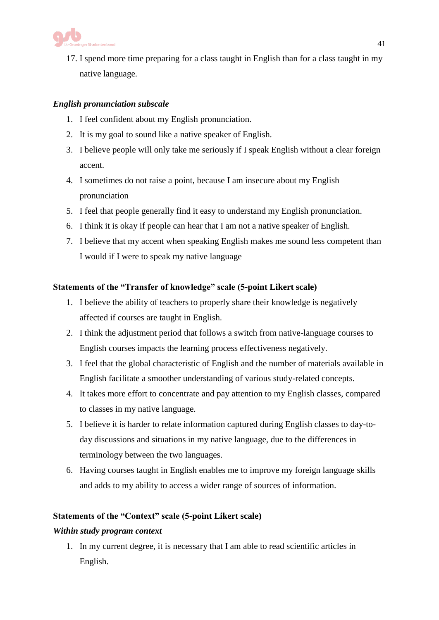

17. I spend more time preparing for a class taught in English than for a class taught in my native language.

## *English pronunciation subscale*

- 1. I feel confident about my English pronunciation.
- 2. It is my goal to sound like a native speaker of English.
- 3. I believe people will only take me seriously if I speak English without a clear foreign accent.
- 4. I sometimes do not raise a point, because I am insecure about my English pronunciation
- 5. I feel that people generally find it easy to understand my English pronunciation.
- 6. I think it is okay if people can hear that I am not a native speaker of English.
- 7. I believe that my accent when speaking English makes me sound less competent than I would if I were to speak my native language

## **Statements of the "Transfer of knowledge" scale (5-point Likert scale)**

- 1. I believe the ability of teachers to properly share their knowledge is negatively affected if courses are taught in English.
- 2. I think the adjustment period that follows a switch from native-language courses to English courses impacts the learning process effectiveness negatively.
- 3. I feel that the global characteristic of English and the number of materials available in English facilitate a smoother understanding of various study-related concepts.
- 4. It takes more effort to concentrate and pay attention to my English classes, compared to classes in my native language.
- 5. I believe it is harder to relate information captured during English classes to day-today discussions and situations in my native language, due to the differences in terminology between the two languages.
- 6. Having courses taught in English enables me to improve my foreign language skills and adds to my ability to access a wider range of sources of information.

## **Statements of the "Context" scale (5-point Likert scale)**

## *Within study program context*

1. In my current degree, it is necessary that I am able to read scientific articles in English.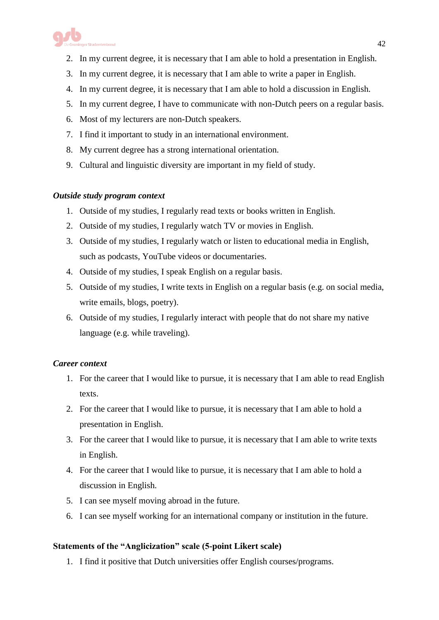

- 2. In my current degree, it is necessary that I am able to hold a presentation in English.
- 3. In my current degree, it is necessary that I am able to write a paper in English.
- 4. In my current degree, it is necessary that I am able to hold a discussion in English.
- 5. In my current degree, I have to communicate with non-Dutch peers on a regular basis.
- 6. Most of my lecturers are non-Dutch speakers.
- 7. I find it important to study in an international environment.
- 8. My current degree has a strong international orientation.
- 9. Cultural and linguistic diversity are important in my field of study.

## *Outside study program context*

- 1. Outside of my studies, I regularly read texts or books written in English.
- 2. Outside of my studies, I regularly watch TV or movies in English.
- 3. Outside of my studies, I regularly watch or listen to educational media in English, such as podcasts, YouTube videos or documentaries.
- 4. Outside of my studies, I speak English on a regular basis.
- 5. Outside of my studies, I write texts in English on a regular basis (e.g. on social media, write emails, blogs, poetry).
- 6. Outside of my studies, I regularly interact with people that do not share my native language (e.g. while traveling).

## *Career context*

- 1. For the career that I would like to pursue, it is necessary that I am able to read English texts.
- 2. For the career that I would like to pursue, it is necessary that I am able to hold a presentation in English.
- 3. For the career that I would like to pursue, it is necessary that I am able to write texts in English.
- 4. For the career that I would like to pursue, it is necessary that I am able to hold a discussion in English.
- 5. I can see myself moving abroad in the future.
- 6. I can see myself working for an international company or institution in the future.

## **Statements of the "Anglicization" scale (5-point Likert scale)**

1. I find it positive that Dutch universities offer English courses/programs.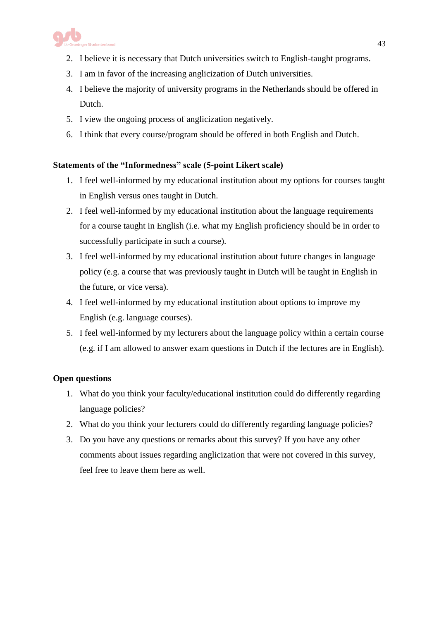

- 2. I believe it is necessary that Dutch universities switch to English-taught programs.
- 3. I am in favor of the increasing anglicization of Dutch universities.
- 4. I believe the majority of university programs in the Netherlands should be offered in Dutch.
- 5. I view the ongoing process of anglicization negatively.
- 6. I think that every course/program should be offered in both English and Dutch.

## **Statements of the "Informedness" scale (5-point Likert scale)**

- 1. I feel well-informed by my educational institution about my options for courses taught in English versus ones taught in Dutch.
- 2. I feel well-informed by my educational institution about the language requirements for a course taught in English (i.e. what my English proficiency should be in order to successfully participate in such a course).
- 3. I feel well-informed by my educational institution about future changes in language policy (e.g. a course that was previously taught in Dutch will be taught in English in the future, or vice versa).
- 4. I feel well-informed by my educational institution about options to improve my English (e.g. language courses).
- 5. I feel well-informed by my lecturers about the language policy within a certain course (e.g. if I am allowed to answer exam questions in Dutch if the lectures are in English).

## **Open questions**

- 1. What do you think your faculty/educational institution could do differently regarding language policies?
- 2. What do you think your lecturers could do differently regarding language policies?
- 3. Do you have any questions or remarks about this survey? If you have any other comments about issues regarding anglicization that were not covered in this survey, feel free to leave them here as well.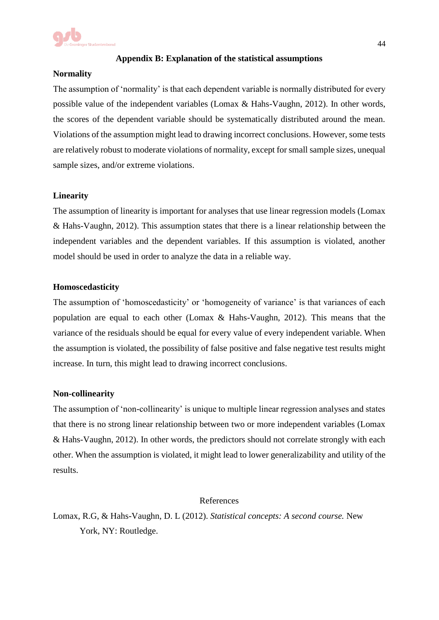

#### **Appendix B: Explanation of the statistical assumptions**

#### **Normality**

The assumption of 'normality' is that each dependent variable is normally distributed for every possible value of the independent variables (Lomax & Hahs-Vaughn, 2012). In other words, the scores of the dependent variable should be systematically distributed around the mean. Violations of the assumption might lead to drawing incorrect conclusions. However, some tests are relatively robust to moderate violations of normality, except for small sample sizes, unequal sample sizes, and/or extreme violations.

#### **Linearity**

The assumption of linearity is important for analyses that use linear regression models (Lomax & Hahs-Vaughn, 2012). This assumption states that there is a linear relationship between the independent variables and the dependent variables. If this assumption is violated, another model should be used in order to analyze the data in a reliable way.

#### **Homoscedasticity**

The assumption of 'homoscedasticity' or 'homogeneity of variance' is that variances of each population are equal to each other (Lomax & Hahs-Vaughn, 2012). This means that the variance of the residuals should be equal for every value of every independent variable. When the assumption is violated, the possibility of false positive and false negative test results might increase. In turn, this might lead to drawing incorrect conclusions.

#### **Non-collinearity**

The assumption of 'non-collinearity' is unique to multiple linear regression analyses and states that there is no strong linear relationship between two or more independent variables (Lomax & Hahs-Vaughn, 2012). In other words, the predictors should not correlate strongly with each other. When the assumption is violated, it might lead to lower generalizability and utility of the results.

#### References

Lomax, R.G, & Hahs-Vaughn, D. L (2012). *Statistical concepts: A second course.* New York, NY: Routledge.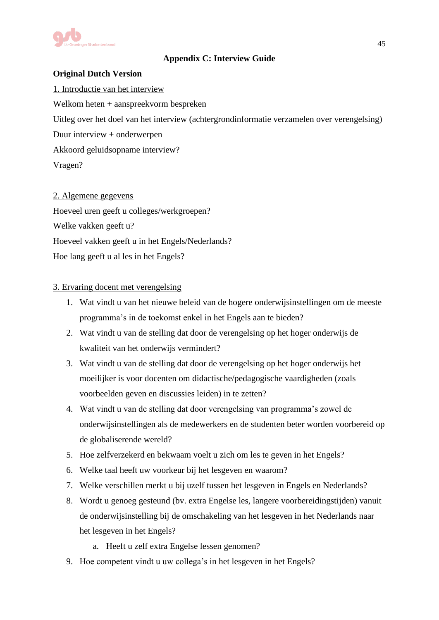

## **Appendix C: Interview Guide**

## **Original Dutch Version**

1. Introductie van het interview Welkom heten + aanspreekvorm bespreken Uitleg over het doel van het interview (achtergrondinformatie verzamelen over verengelsing) Duur interview + onderwerpen Akkoord geluidsopname interview? Vragen?

2. Algemene gegevens Hoeveel uren geeft u colleges/werkgroepen? Welke vakken geeft u? Hoeveel vakken geeft u in het Engels/Nederlands? Hoe lang geeft u al les in het Engels?

## 3. Ervaring docent met verengelsing

- 1. Wat vindt u van het nieuwe beleid van de hogere onderwijsinstellingen om de meeste programma's in de toekomst enkel in het Engels aan te bieden?
- 2. Wat vindt u van de stelling dat door de verengelsing op het hoger onderwijs de kwaliteit van het onderwijs vermindert?
- 3. Wat vindt u van de stelling dat door de verengelsing op het hoger onderwijs het moeilijker is voor docenten om didactische/pedagogische vaardigheden (zoals voorbeelden geven en discussies leiden) in te zetten?
- 4. Wat vindt u van de stelling dat door verengelsing van programma's zowel de onderwijsinstellingen als de medewerkers en de studenten beter worden voorbereid op de globaliserende wereld?
- 5. Hoe zelfverzekerd en bekwaam voelt u zich om les te geven in het Engels?
- 6. Welke taal heeft uw voorkeur bij het lesgeven en waarom?
- 7. Welke verschillen merkt u bij uzelf tussen het lesgeven in Engels en Nederlands?
- 8. Wordt u genoeg gesteund (bv. extra Engelse les, langere voorbereidingstijden) vanuit de onderwijsinstelling bij de omschakeling van het lesgeven in het Nederlands naar het lesgeven in het Engels?
	- a. Heeft u zelf extra Engelse lessen genomen?
- 9. Hoe competent vindt u uw collega's in het lesgeven in het Engels?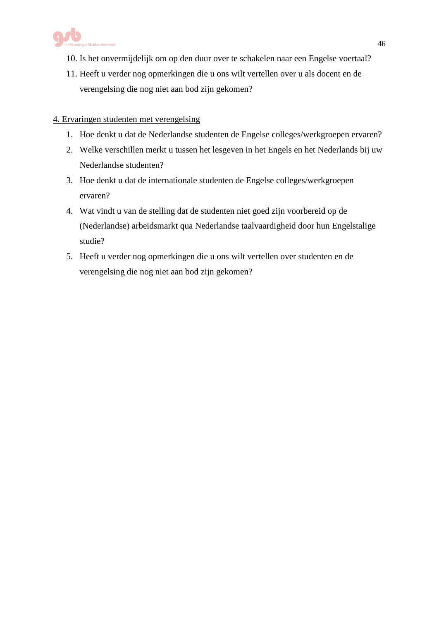

- 10. Is het onvermijdelijk om op den duur over te schakelen naar een Engelse voertaal?
- 11. Heeft u verder nog opmerkingen die u ons wilt vertellen over u als docent en de verengelsing die nog niet aan bod zijn gekomen?

## 4. Ervaringen studenten met verengelsing

- 1. Hoe denkt u dat de Nederlandse studenten de Engelse colleges/werkgroepen ervaren?
- 2. Welke verschillen merkt u tussen het lesgeven in het Engels en het Nederlands bij uw Nederlandse studenten?
- 3. Hoe denkt u dat de internationale studenten de Engelse colleges/werkgroepen ervaren?
- 4. Wat vindt u van de stelling dat de studenten niet goed zijn voorbereid op de (Nederlandse) arbeidsmarkt qua Nederlandse taalvaardigheid door hun Engelstalige studie?
- 5. Heeft u verder nog opmerkingen die u ons wilt vertellen over studenten en de verengelsing die nog niet aan bod zijn gekomen?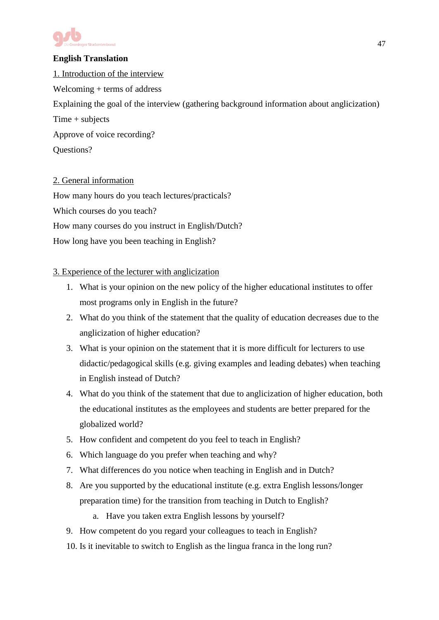

## **English Translation**

1. Introduction of the interview Welcoming + terms of address Explaining the goal of the interview (gathering background information about anglicization) Time + subjects Approve of voice recording? Questions?

## 2. General information

How many hours do you teach lectures/practicals? Which courses do you teach? How many courses do you instruct in English/Dutch? How long have you been teaching in English?

## 3. Experience of the lecturer with anglicization

- 1. What is your opinion on the new policy of the higher educational institutes to offer most programs only in English in the future?
- 2. What do you think of the statement that the quality of education decreases due to the anglicization of higher education?
- 3. What is your opinion on the statement that it is more difficult for lecturers to use didactic/pedagogical skills (e.g. giving examples and leading debates) when teaching in English instead of Dutch?
- 4. What do you think of the statement that due to anglicization of higher education, both the educational institutes as the employees and students are better prepared for the globalized world?
- 5. How confident and competent do you feel to teach in English?
- 6. Which language do you prefer when teaching and why?
- 7. What differences do you notice when teaching in English and in Dutch?
- 8. Are you supported by the educational institute (e.g. extra English lessons/longer preparation time) for the transition from teaching in Dutch to English?
	- a. Have you taken extra English lessons by yourself?
- 9. How competent do you regard your colleagues to teach in English?
- 10. Is it inevitable to switch to English as the lingua franca in the long run?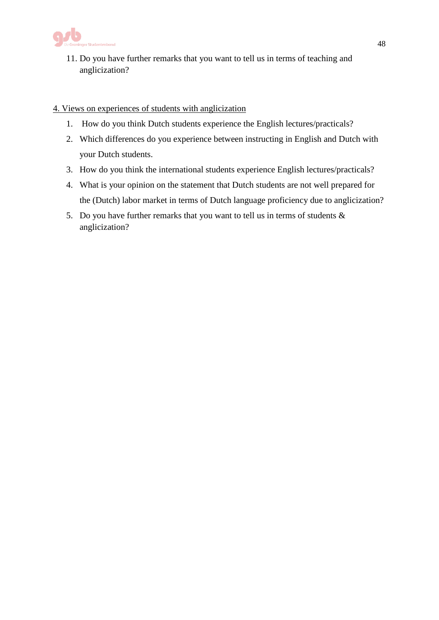

11. Do you have further remarks that you want to tell us in terms of teaching and anglicization?

### 4. Views on experiences of students with anglicization

- 1. How do you think Dutch students experience the English lectures/practicals?
- 2. Which differences do you experience between instructing in English and Dutch with your Dutch students.
- 3. How do you think the international students experience English lectures/practicals?
- 4. What is your opinion on the statement that Dutch students are not well prepared for the (Dutch) labor market in terms of Dutch language proficiency due to anglicization?
- 5. Do you have further remarks that you want to tell us in terms of students & anglicization?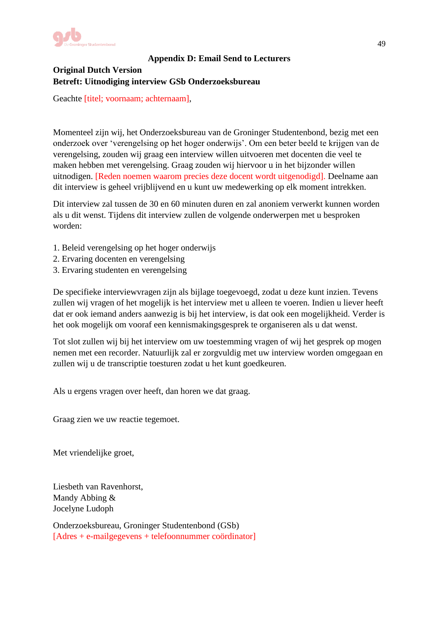

## **Appendix D: Email Send to Lecturers**

## **Original Dutch Version Betreft: Uitnodiging interview GSb Onderzoeksbureau**

Geachte [titel; voornaam; achternaam],

Momenteel zijn wij, het Onderzoeksbureau van de Groninger Studentenbond, bezig met een onderzoek over 'verengelsing op het hoger onderwijs'. Om een beter beeld te krijgen van de verengelsing, zouden wij graag een interview willen uitvoeren met docenten die veel te maken hebben met verengelsing. Graag zouden wij hiervoor u in het bijzonder willen uitnodigen. [Reden noemen waarom precies deze docent wordt uitgenodigd]. Deelname aan dit interview is geheel vrijblijvend en u kunt uw medewerking op elk moment intrekken.

Dit interview zal tussen de 30 en 60 minuten duren en zal anoniem verwerkt kunnen worden als u dit wenst. Tijdens dit interview zullen de volgende onderwerpen met u besproken worden:

- 1. Beleid verengelsing op het hoger onderwijs
- 2. Ervaring docenten en verengelsing
- 3. Ervaring studenten en verengelsing

De specifieke interviewvragen zijn als bijlage toegevoegd, zodat u deze kunt inzien. Tevens zullen wij vragen of het mogelijk is het interview met u alleen te voeren. Indien u liever heeft dat er ook iemand anders aanwezig is bij het interview, is dat ook een mogelijkheid. Verder is het ook mogelijk om vooraf een kennismakingsgesprek te organiseren als u dat wenst.

Tot slot zullen wij bij het interview om uw toestemming vragen of wij het gesprek op mogen nemen met een recorder. Natuurlijk zal er zorgvuldig met uw interview worden omgegaan en zullen wij u de transcriptie toesturen zodat u het kunt goedkeuren.

Als u ergens vragen over heeft, dan horen we dat graag.

Graag zien we uw reactie tegemoet.

Met vriendelijke groet,

Liesbeth van Ravenhorst, Mandy Abbing & Jocelyne Ludoph

Onderzoeksbureau, Groninger Studentenbond (GSb) [Adres + e-mailgegevens + telefoonnummer coördinator]